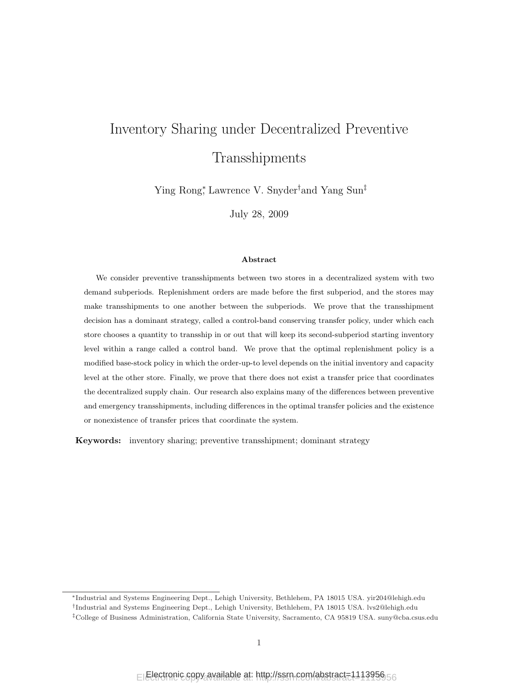# Inventory Sharing under Decentralized Preventive Transshipments

Ying Rong<sup>∗</sup> , Lawrence V. Snyder†and Yang Sun‡

July 28, 2009

#### Abstract

We consider preventive transshipments between two stores in a decentralized system with two demand subperiods. Replenishment orders are made before the first subperiod, and the stores may make transshipments to one another between the subperiods. We prove that the transshipment decision has a dominant strategy, called a control-band conserving transfer policy, under which each store chooses a quantity to transship in or out that will keep its second-subperiod starting inventory level within a range called a control band. We prove that the optimal replenishment policy is a modified base-stock policy in which the order-up-to level depends on the initial inventory and capacity level at the other store. Finally, we prove that there does not exist a transfer price that coordinates the decentralized supply chain. Our research also explains many of the differences between preventive and emergency transshipments, including differences in the optimal transfer policies and the existence or nonexistence of transfer prices that coordinate the system.

Keywords: inventory sharing; preventive transshipment; dominant strategy

<sup>∗</sup>Industrial and Systems Engineering Dept., Lehigh University, Bethlehem, PA 18015 USA. yir204@lehigh.edu

<sup>†</sup> Industrial and Systems Engineering Dept., Lehigh University, Bethlehem, PA 18015 USA. lvs2@lehigh.edu

<sup>‡</sup>College of Business Administration, California State University, Sacramento, CA 95819 USA. suny@cba.csus.edu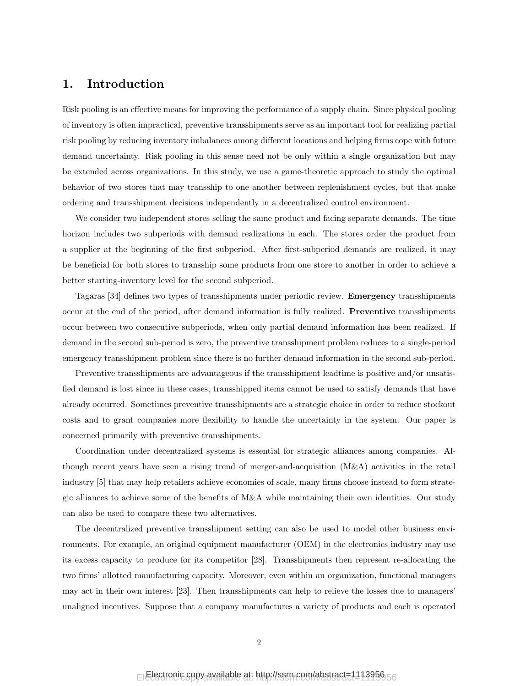# 1. Introduction

Risk pooling is an effective means for improving the performance of a supply chain. Since physical pooling of inventory is often impractical, preventive transshipments serve as an important tool for realizing partial risk pooling by reducing inventory imbalances among different locations and helping firms cope with future demand uncertainty. Risk pooling in this sense need not be only within a single organization but may be extended across organizations. In this study, we use a game-theoretic approach to study the optimal behavior of two stores that may transship to one another between replenishment cycles, but that make ordering and transshipment decisions independently in a decentralized control environment.

We consider two independent stores selling the same product and facing separate demands. The time horizon includes two subperiods with demand realizations in each. The stores order the product from a supplier at the beginning of the first subperiod. After first-subperiod demands are realized, it may be beneficial for both stores to transship some products from one store to another in order to achieve a better starting-inventory level for the second subperiod.

Tagaras [34] defines two types of transshipments under periodic review. Emergency transshipments occur at the end of the period, after demand information is fully realized. Preventive transshipments occur between two consecutive subperiods, when only partial demand information has been realized. If demand in the second sub-period is zero, the preventive transshipment problem reduces to a single-period emergency transshipment problem since there is no further demand information in the second sub-period.

Preventive transshipments are advantageous if the transshipment leadtime is positive and/or unsatisfied demand is lost since in these cases, transshipped items cannot be used to satisfy demands that have already occurred. Sometimes preventive transshipments are a strategic choice in order to reduce stockout costs and to grant companies more flexibility to handle the uncertainty in the system. Our paper is concerned primarily with preventive transshipments.

Coordination under decentralized systems is essential for strategic alliances among companies. Although recent years have seen a rising trend of merger-and-acquisition (M&A) activities in the retail industry [5] that may help retailers achieve economies of scale, many firms choose instead to form strategic alliances to achieve some of the benefits of M&A while maintaining their own identities. Our study can also be used to compare these two alternatives.

The decentralized preventive transshipment setting can also be used to model other business environments. For example, an original equipment manufacturer (OEM) in the electronics industry may use its excess capacity to produce for its competitor [28]. Transshipments then represent re-allocating the two firms' allotted manufacturing capacity. Moreover, even within an organization, functional managers may act in their own interest [23]. Then transshipments can help to relieve the losses due to managers' unaligned incentives. Suppose that a company manufactures a variety of products and each is operated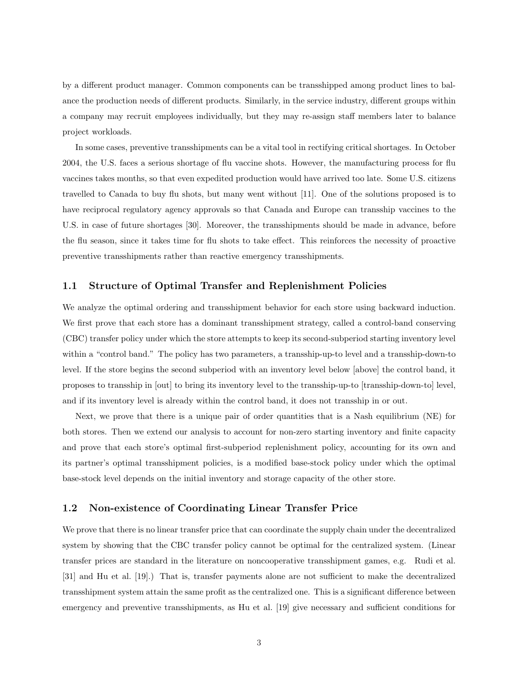by a different product manager. Common components can be transshipped among product lines to balance the production needs of different products. Similarly, in the service industry, different groups within a company may recruit employees individually, but they may re-assign staff members later to balance project workloads.

In some cases, preventive transshipments can be a vital tool in rectifying critical shortages. In October 2004, the U.S. faces a serious shortage of flu vaccine shots. However, the manufacturing process for flu vaccines takes months, so that even expedited production would have arrived too late. Some U.S. citizens travelled to Canada to buy flu shots, but many went without [11]. One of the solutions proposed is to have reciprocal regulatory agency approvals so that Canada and Europe can transship vaccines to the U.S. in case of future shortages [30]. Moreover, the transshipments should be made in advance, before the flu season, since it takes time for flu shots to take effect. This reinforces the necessity of proactive preventive transshipments rather than reactive emergency transshipments.

## 1.1 Structure of Optimal Transfer and Replenishment Policies

We analyze the optimal ordering and transshipment behavior for each store using backward induction. We first prove that each store has a dominant transshipment strategy, called a control-band conserving (CBC) transfer policy under which the store attempts to keep its second-subperiod starting inventory level within a "control band." The policy has two parameters, a transship-up-to level and a transship-down-to level. If the store begins the second subperiod with an inventory level below [above] the control band, it proposes to transship in [out] to bring its inventory level to the transship-up-to [transship-down-to] level, and if its inventory level is already within the control band, it does not transship in or out.

Next, we prove that there is a unique pair of order quantities that is a Nash equilibrium (NE) for both stores. Then we extend our analysis to account for non-zero starting inventory and finite capacity and prove that each store's optimal first-subperiod replenishment policy, accounting for its own and its partner's optimal transshipment policies, is a modified base-stock policy under which the optimal base-stock level depends on the initial inventory and storage capacity of the other store.

## 1.2 Non-existence of Coordinating Linear Transfer Price

We prove that there is no linear transfer price that can coordinate the supply chain under the decentralized system by showing that the CBC transfer policy cannot be optimal for the centralized system. (Linear transfer prices are standard in the literature on noncooperative transshipment games, e.g. Rudi et al. [31] and Hu et al. [19].) That is, transfer payments alone are not sufficient to make the decentralized transshipment system attain the same profit as the centralized one. This is a significant difference between emergency and preventive transshipments, as Hu et al. [19] give necessary and sufficient conditions for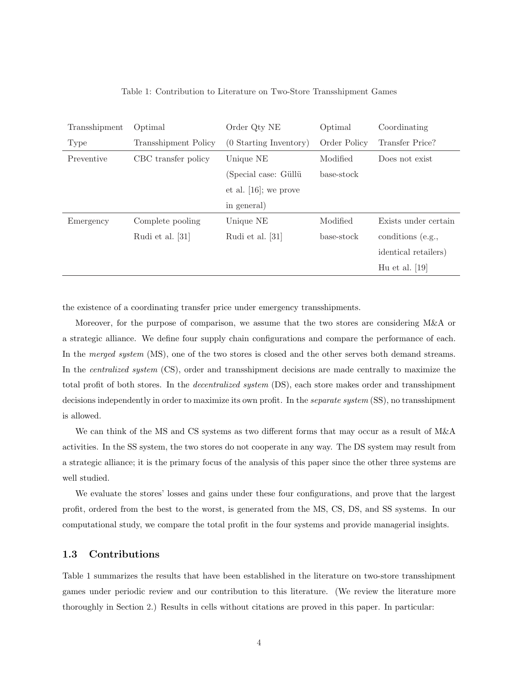| Transshipment | Optimal                     | Order Qty NE             | Optimal      | Coordinating         |  |
|---------------|-----------------------------|--------------------------|--------------|----------------------|--|
| Type          | <b>Transshipment Policy</b> | (0 Starting Inventory)   | Order Policy | Transfer Price?      |  |
| Preventive    | CBC transfer policy         | Unique NE                | Modified     | Does not exist       |  |
|               |                             | (Special case: Güllü     | base-stock   |                      |  |
|               |                             | et al. $[16]$ ; we prove |              |                      |  |
|               |                             | in general)              |              |                      |  |
| Emergency     | Complete pooling            | Unique NE                | Modified     | Exists under certain |  |
|               | Rudi et al. [31]            | Rudi et al. [31]         | base-stock   | conditions (e.g.,    |  |
|               |                             |                          |              | identical retailers) |  |
|               |                             |                          |              | Hu et al. $[19]$     |  |

Table 1: Contribution to Literature on Two-Store Transshipment Games

the existence of a coordinating transfer price under emergency transshipments.

Moreover, for the purpose of comparison, we assume that the two stores are considering M&A or a strategic alliance. We define four supply chain configurations and compare the performance of each. In the *merged system* (MS), one of the two stores is closed and the other serves both demand streams. In the *centralized system* (CS), order and transshipment decisions are made centrally to maximize the total profit of both stores. In the decentralized system (DS), each store makes order and transshipment decisions independently in order to maximize its own profit. In the *separate system* (SS), no transshipment is allowed.

We can think of the MS and CS systems as two different forms that may occur as a result of M&A activities. In the SS system, the two stores do not cooperate in any way. The DS system may result from a strategic alliance; it is the primary focus of the analysis of this paper since the other three systems are well studied.

We evaluate the stores' losses and gains under these four configurations, and prove that the largest profit, ordered from the best to the worst, is generated from the MS, CS, DS, and SS systems. In our computational study, we compare the total profit in the four systems and provide managerial insights.

## 1.3 Contributions

Table 1 summarizes the results that have been established in the literature on two-store transshipment games under periodic review and our contribution to this literature. (We review the literature more thoroughly in Section 2.) Results in cells without citations are proved in this paper. In particular: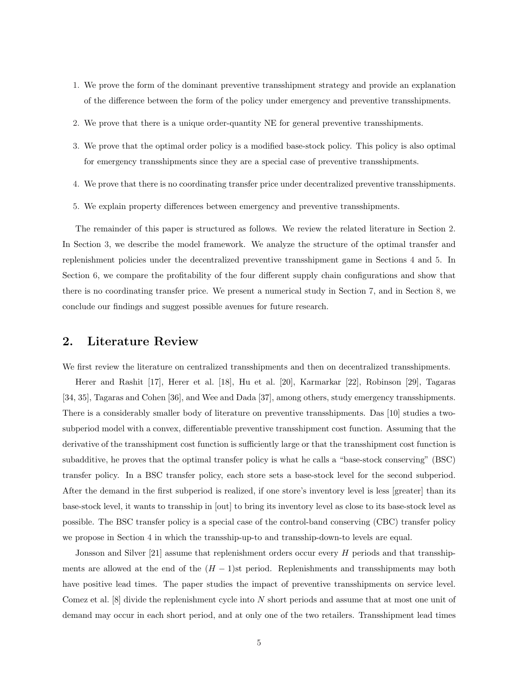- 1. We prove the form of the dominant preventive transshipment strategy and provide an explanation of the difference between the form of the policy under emergency and preventive transshipments.
- 2. We prove that there is a unique order-quantity NE for general preventive transshipments.
- 3. We prove that the optimal order policy is a modified base-stock policy. This policy is also optimal for emergency transshipments since they are a special case of preventive transshipments.
- 4. We prove that there is no coordinating transfer price under decentralized preventive transshipments.
- 5. We explain property differences between emergency and preventive transshipments.

The remainder of this paper is structured as follows. We review the related literature in Section 2. In Section 3, we describe the model framework. We analyze the structure of the optimal transfer and replenishment policies under the decentralized preventive transshipment game in Sections 4 and 5. In Section 6, we compare the profitability of the four different supply chain configurations and show that there is no coordinating transfer price. We present a numerical study in Section 7, and in Section 8, we conclude our findings and suggest possible avenues for future research.

# 2. Literature Review

We first review the literature on centralized transshipments and then on decentralized transshipments.

Herer and Rashit [17], Herer et al. [18], Hu et al. [20], Karmarkar [22], Robinson [29], Tagaras [34, 35], Tagaras and Cohen [36], and Wee and Dada [37], among others, study emergency transshipments. There is a considerably smaller body of literature on preventive transshipments. Das [10] studies a twosubperiod model with a convex, differentiable preventive transshipment cost function. Assuming that the derivative of the transshipment cost function is sufficiently large or that the transshipment cost function is subadditive, he proves that the optimal transfer policy is what he calls a "base-stock conserving" (BSC) transfer policy. In a BSC transfer policy, each store sets a base-stock level for the second subperiod. After the demand in the first subperiod is realized, if one store's inventory level is less [greater] than its base-stock level, it wants to transship in [out] to bring its inventory level as close to its base-stock level as possible. The BSC transfer policy is a special case of the control-band conserving (CBC) transfer policy we propose in Section 4 in which the transship-up-to and transship-down-to levels are equal.

Jonsson and Silver [21] assume that replenishment orders occur every H periods and that transshipments are allowed at the end of the  $(H - 1)$ st period. Replenishments and transshipments may both have positive lead times. The paper studies the impact of preventive transshipments on service level. Comez et al. [8] divide the replenishment cycle into N short periods and assume that at most one unit of demand may occur in each short period, and at only one of the two retailers. Transshipment lead times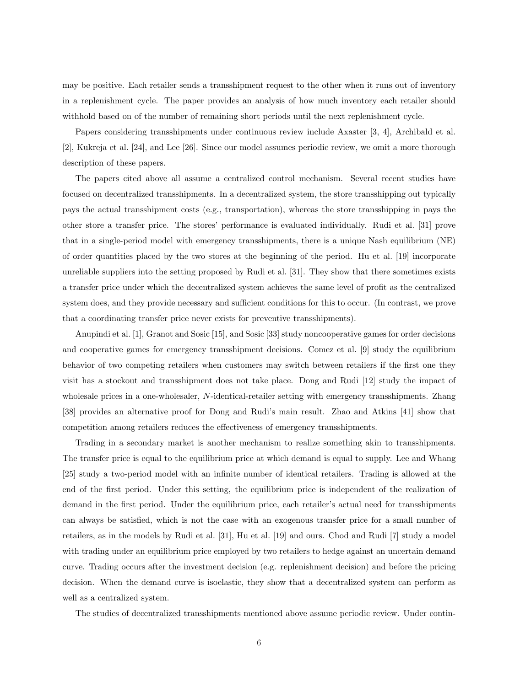may be positive. Each retailer sends a transshipment request to the other when it runs out of inventory in a replenishment cycle. The paper provides an analysis of how much inventory each retailer should withhold based on of the number of remaining short periods until the next replenishment cycle.

Papers considering transshipments under continuous review include Axaster [3, 4], Archibald et al. [2], Kukreja et al. [24], and Lee [26]. Since our model assumes periodic review, we omit a more thorough description of these papers.

The papers cited above all assume a centralized control mechanism. Several recent studies have focused on decentralized transshipments. In a decentralized system, the store transshipping out typically pays the actual transshipment costs (e.g., transportation), whereas the store transshipping in pays the other store a transfer price. The stores' performance is evaluated individually. Rudi et al. [31] prove that in a single-period model with emergency transshipments, there is a unique Nash equilibrium (NE) of order quantities placed by the two stores at the beginning of the period. Hu et al. [19] incorporate unreliable suppliers into the setting proposed by Rudi et al. [31]. They show that there sometimes exists a transfer price under which the decentralized system achieves the same level of profit as the centralized system does, and they provide necessary and sufficient conditions for this to occur. (In contrast, we prove that a coordinating transfer price never exists for preventive transshipments).

Anupindi et al. [1], Granot and Sosic [15], and Sosic [33] study noncooperative games for order decisions and cooperative games for emergency transshipment decisions. Comez et al. [9] study the equilibrium behavior of two competing retailers when customers may switch between retailers if the first one they visit has a stockout and transshipment does not take place. Dong and Rudi [12] study the impact of wholesale prices in a one-wholesaler, N-identical-retailer setting with emergency transshipments. Zhang [38] provides an alternative proof for Dong and Rudi's main result. Zhao and Atkins [41] show that competition among retailers reduces the effectiveness of emergency transshipments.

Trading in a secondary market is another mechanism to realize something akin to transshipments. The transfer price is equal to the equilibrium price at which demand is equal to supply. Lee and Whang [25] study a two-period model with an infinite number of identical retailers. Trading is allowed at the end of the first period. Under this setting, the equilibrium price is independent of the realization of demand in the first period. Under the equilibrium price, each retailer's actual need for transshipments can always be satisfied, which is not the case with an exogenous transfer price for a small number of retailers, as in the models by Rudi et al. [31], Hu et al. [19] and ours. Chod and Rudi [7] study a model with trading under an equilibrium price employed by two retailers to hedge against an uncertain demand curve. Trading occurs after the investment decision (e.g. replenishment decision) and before the pricing decision. When the demand curve is isoelastic, they show that a decentralized system can perform as well as a centralized system.

The studies of decentralized transshipments mentioned above assume periodic review. Under contin-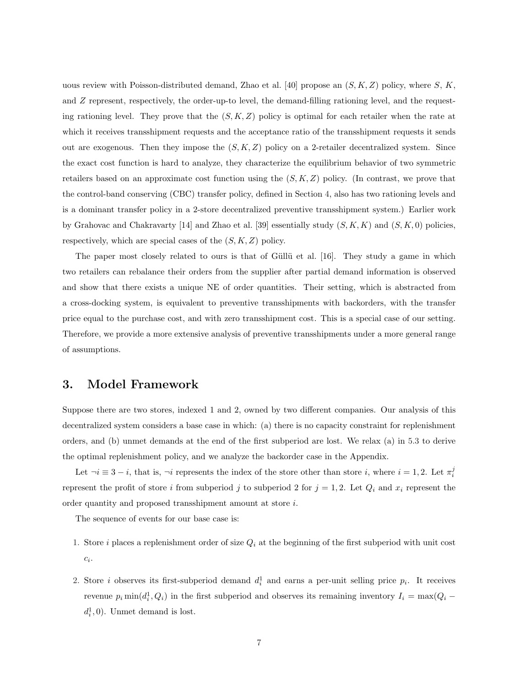uous review with Poisson-distributed demand, Zhao et al. [40] propose an  $(S, K, Z)$  policy, where S, K, and Z represent, respectively, the order-up-to level, the demand-filling rationing level, and the requesting rationing level. They prove that the  $(S, K, Z)$  policy is optimal for each retailer when the rate at which it receives transshipment requests and the acceptance ratio of the transshipment requests it sends out are exogenous. Then they impose the  $(S, K, Z)$  policy on a 2-retailer decentralized system. Since the exact cost function is hard to analyze, they characterize the equilibrium behavior of two symmetric retailers based on an approximate cost function using the  $(S, K, Z)$  policy. (In contrast, we prove that the control-band conserving (CBC) transfer policy, defined in Section 4, also has two rationing levels and is a dominant transfer policy in a 2-store decentralized preventive transshipment system.) Earlier work by Grahovac and Chakravarty [14] and Zhao et al. [39] essentially study  $(S, K, K)$  and  $(S, K, 0)$  policies, respectively, which are special cases of the  $(S, K, Z)$  policy.

The paper most closely related to ours is that of Güllü et al. [16]. They study a game in which two retailers can rebalance their orders from the supplier after partial demand information is observed and show that there exists a unique NE of order quantities. Their setting, which is abstracted from a cross-docking system, is equivalent to preventive transshipments with backorders, with the transfer price equal to the purchase cost, and with zero transshipment cost. This is a special case of our setting. Therefore, we provide a more extensive analysis of preventive transshipments under a more general range of assumptions.

# 3. Model Framework

Suppose there are two stores, indexed 1 and 2, owned by two different companies. Our analysis of this decentralized system considers a base case in which: (a) there is no capacity constraint for replenishment orders, and (b) unmet demands at the end of the first subperiod are lost. We relax (a) in 5.3 to derive the optimal replenishment policy, and we analyze the backorder case in the Appendix.

Let  $\neg i \equiv 3 - i$ , that is,  $\neg i$  represents the index of the store other than store i, where  $i = 1, 2$ . Let  $\pi_i^j$ represent the profit of store i from subperiod j to subperiod 2 for  $j = 1, 2$ . Let  $Q_i$  and  $x_i$  represent the order quantity and proposed transshipment amount at store i.

The sequence of events for our base case is:

- 1. Store i places a replenishment order of size  $Q_i$  at the beginning of the first subperiod with unit cost  $\overline{c_i}$ .
- 2. Store *i* observes its first-subperiod demand  $d_i^1$  and earns a per-unit selling price  $p_i$ . It receives revenue  $p_i \min(d_i^1, Q_i)$  in the first subperiod and observes its remaining inventory  $I_i = \max(Q_i$  $d_i^1, 0$ ). Unmet demand is lost.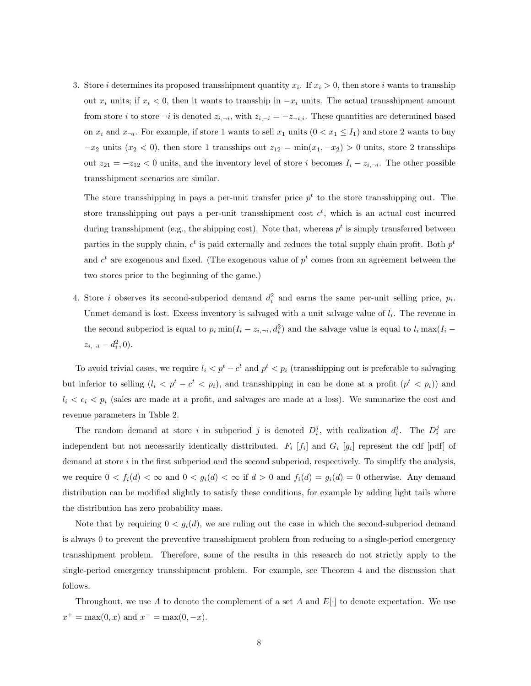3. Store *i* determines its proposed transshipment quantity  $x_i$ . If  $x_i > 0$ , then store *i* wants to transship out  $x_i$  units; if  $x_i < 0$ , then it wants to transship in  $-x_i$  units. The actual transshipment amount from store *i* to store  $\neg i$  is denoted  $z_{i,\neg i}$ , with  $z_{i,\neg i} = -z_{\neg i,i}$ . These quantities are determined based on  $x_i$  and  $x_{\neg i}$ . For example, if store 1 wants to sell  $x_1$  units  $(0 < x_1 \leq I_1)$  and store 2 wants to buy  $-x_2$  units  $(x_2 < 0)$ , then store 1 transships out  $z_{12} = \min(x_1, -x_2) > 0$  units, store 2 transships out  $z_{21} = -z_{12} < 0$  units, and the inventory level of store i becomes  $I_i - z_{i, \neg i}$ . The other possible transshipment scenarios are similar.

The store transshipping in pays a per-unit transfer price  $p<sup>t</sup>$  to the store transshipping out. The store transshipping out pays a per-unit transshipment cost  $c^t$ , which is an actual cost incurred during transshipment (e.g., the shipping cost). Note that, whereas  $p^t$  is simply transferred between parties in the supply chain,  $c^t$  is paid externally and reduces the total supply chain profit. Both  $p^t$ and  $c<sup>t</sup>$  are exogenous and fixed. (The exogenous value of  $p<sup>t</sup>$  comes from an agreement between the two stores prior to the beginning of the game.)

4. Store *i* observes its second-subperiod demand  $d_i^2$  and earns the same per-unit selling price,  $p_i$ . Unmet demand is lost. Excess inventory is salvaged with a unit salvage value of  $l_i$ . The revenue in the second subperiod is equal to  $p_i \min(I_i - z_{i, \neg i}, d_i^2)$  and the salvage value is equal to  $l_i \max(I_i - z_{i, \neg i}, d_i^2)$  $z_{i, \neg i} - d_i^2, 0$ ).

To avoid trivial cases, we require  $l_i < p^t - c^t$  and  $p^t < p_i$  (transshipping out is preferable to salvaging but inferior to selling  $(l_i < p^t - c^t < p_i)$ , and transshipping in can be done at a profit  $(p^t < p_i)$  and  $l_i < c_i < p_i$  (sales are made at a profit, and salvages are made at a loss). We summarize the cost and revenue parameters in Table 2.

The random demand at store i in subperiod j is denoted  $D_i^j$ , with realization  $d_i^j$ . The  $D_i^j$  are independent but not necessarily identically distributed.  $F_i$  [ $f_i$ ] and  $G_i$  [ $g_i$ ] represent the cdf [pdf] of demand at store  $i$  in the first subperiod and the second subperiod, respectively. To simplify the analysis, we require  $0 < f_i(d) < \infty$  and  $0 < g_i(d) < \infty$  if  $d > 0$  and  $f_i(d) = g_i(d) = 0$  otherwise. Any demand distribution can be modified slightly to satisfy these conditions, for example by adding light tails where the distribution has zero probability mass.

Note that by requiring  $0 < g_i(d)$ , we are ruling out the case in which the second-subperiod demand is always 0 to prevent the preventive transshipment problem from reducing to a single-period emergency transshipment problem. Therefore, some of the results in this research do not strictly apply to the single-period emergency transshipment problem. For example, see Theorem 4 and the discussion that follows.

Throughout, we use  $\overline{A}$  to denote the complement of a set A and E[·] to denote expectation. We use  $x^+ = \max(0, x)$  and  $x^- = \max(0, -x)$ .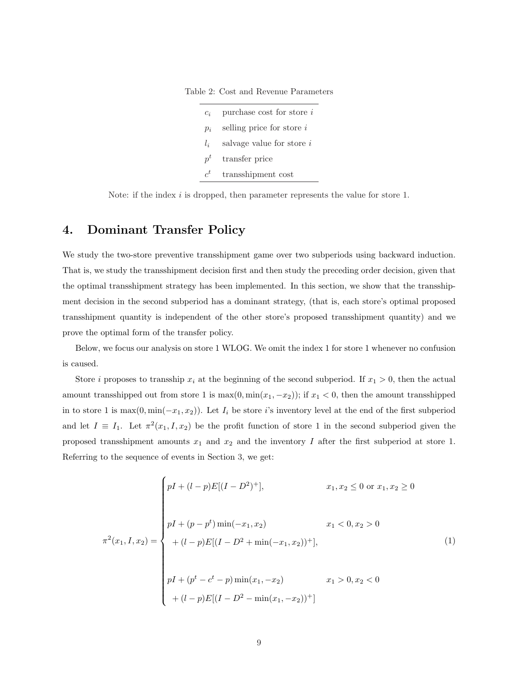Table 2: Cost and Revenue Parameters

| $c_i$          | purchase cost for store i |
|----------------|---------------------------|
| $p_i$          | selling price for store i |
| $l_{i}$        | salvage value for store i |
| $p^t$          | transfer price            |
| $\mathbf{r}^t$ | transshipment cost        |

Note: if the index  $i$  is dropped, then parameter represents the value for store 1.

# 4. Dominant Transfer Policy

We study the two-store preventive transshipment game over two subperiods using backward induction. That is, we study the transshipment decision first and then study the preceding order decision, given that the optimal transshipment strategy has been implemented. In this section, we show that the transshipment decision in the second subperiod has a dominant strategy, (that is, each store's optimal proposed transshipment quantity is independent of the other store's proposed transshipment quantity) and we prove the optimal form of the transfer policy.

Below, we focus our analysis on store 1 WLOG. We omit the index 1 for store 1 whenever no confusion is caused.

Store *i* proposes to transship  $x_i$  at the beginning of the second subperiod. If  $x_1 > 0$ , then the actual amount transshipped out from store 1 is  $\max(0, \min(x_1, -x_2))$ ; if  $x_1 < 0$ , then the amount transshipped in to store 1 is  $\max(0, \min(-x_1, x_2))$ . Let  $I_i$  be store i's inventory level at the end of the first subperiod and let  $I \equiv I_1$ . Let  $\pi^2(x_1, I, x_2)$  be the profit function of store 1 in the second subperiod given the proposed transshipment amounts  $x_1$  and  $x_2$  and the inventory I after the first subperiod at store 1. Referring to the sequence of events in Section 3, we get:

$$
\pi^{2}(x_{1}, I, x_{2}) = \begin{cases}\n pI + (l-p)E[(I - D^{2})^{+}], & x_{1}, x_{2} \leq 0 \text{ or } x_{1}, x_{2} \geq 0 \\
 pI + (p - p^{t})\min(-x_{1}, x_{2}) & x_{1} < 0, x_{2} > 0 \\
 + (l - p)E[(I - D^{2} + \min(-x_{1}, x_{2}))^{+}], & (1) \\
 pI + (p^{t} - c^{t} - p)\min(x_{1}, -x_{2}) & x_{1} > 0, x_{2} < 0 \\
 + (l - p)E[(I - D^{2} - \min(x_{1}, -x_{2}))^{+}]\n\end{cases}
$$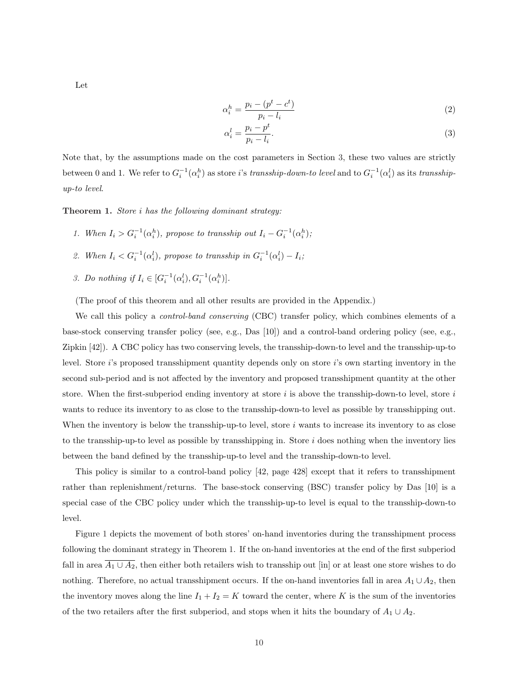Let

$$
\alpha_i^h = \frac{p_i - (p^t - c^t)}{p_i - l_i} \tag{2}
$$

$$
\alpha_i^l = \frac{p_i - p^t}{p_i - l_i}.\tag{3}
$$

Note that, by the assumptions made on the cost parameters in Section 3, these two values are strictly between 0 and 1. We refer to  $G_i^{-1}(\alpha_i^h)$  as store *i*'s *transship-down-to level* and to  $G_i^{-1}(\alpha_i^l)$  as its *transship*up-to level.

Theorem 1. Store *i* has the following dominant strategy:

- 1. When  $I_i > G_i^{-1}(\alpha_i^h)$ , propose to transship out  $I_i G_i^{-1}(\alpha_i^h)$ ;
- 2. When  $I_i < G_i^{-1}(\alpha_i^l)$ , propose to transship in  $G_i^{-1}(\alpha_i^l) I_i$ ;
- 3. Do nothing if  $I_i \in [G_i^{-1}(\alpha_i^l), G_i^{-1}(\alpha_i^h)]$ .

(The proof of this theorem and all other results are provided in the Appendix.)

We call this policy a *control-band conserving* (CBC) transfer policy, which combines elements of a base-stock conserving transfer policy (see, e.g., Das [10]) and a control-band ordering policy (see, e.g., Zipkin [42]). A CBC policy has two conserving levels, the transship-down-to level and the transship-up-to level. Store i's proposed transshipment quantity depends only on store i's own starting inventory in the second sub-period and is not affected by the inventory and proposed transshipment quantity at the other store. When the first-subperiod ending inventory at store  $i$  is above the transship-down-to level, store  $i$ wants to reduce its inventory to as close to the transship-down-to level as possible by transshipping out. When the inventory is below the transship-up-to level, store i wants to increase its inventory to as close to the transship-up-to level as possible by transshipping in. Store  $i$  does nothing when the inventory lies between the band defined by the transship-up-to level and the transship-down-to level.

This policy is similar to a control-band policy [42, page 428] except that it refers to transshipment rather than replenishment/returns. The base-stock conserving (BSC) transfer policy by Das [10] is a special case of the CBC policy under which the transship-up-to level is equal to the transship-down-to level.

Figure 1 depicts the movement of both stores' on-hand inventories during the transshipment process following the dominant strategy in Theorem 1. If the on-hand inventories at the end of the first subperiod fall in area  $\overline{A_1 \cup A_2}$ , then either both retailers wish to transship out [in] or at least one store wishes to do nothing. Therefore, no actual transshipment occurs. If the on-hand inventories fall in area  $A_1 \cup A_2$ , then the inventory moves along the line  $I_1 + I_2 = K$  toward the center, where K is the sum of the inventories of the two retailers after the first subperiod, and stops when it hits the boundary of  $A_1 \cup A_2$ .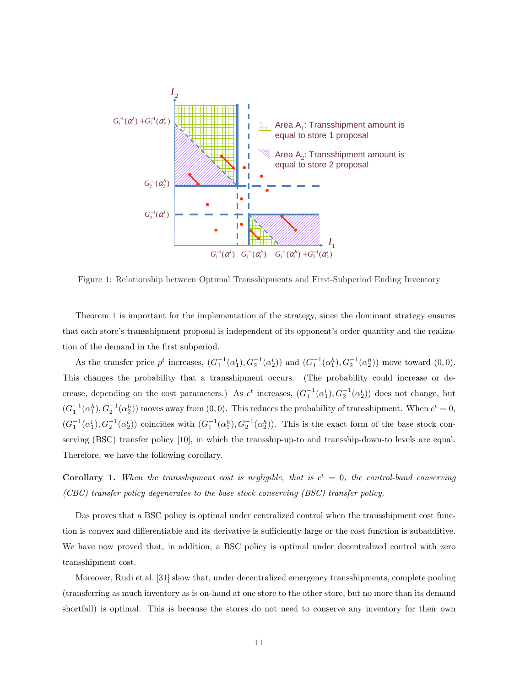

Figure 1: Relationship between Optimal Transshipments and First-Subperiod Ending Inventory

Theorem 1 is important for the implementation of the strategy, since the dominant strategy ensures that each store's transshipment proposal is independent of its opponent's order quantity and the realization of the demand in the first subperiod.

As the transfer price  $p^t$  increases,  $(G_1^{-1}(\alpha_1^l), G_2^{-1}(\alpha_2^l))$  and  $(G_1^{-1}(\alpha_1^h), G_2^{-1}(\alpha_2^h))$  move toward  $(0,0)$ . This changes the probability that a transshipment occurs. (The probability could increase or decrease, depending on the cost parameters.) As  $c^t$  increases,  $(G_1^{-1}(\alpha_1^l), G_2^{-1}(\alpha_2^l))$  does not change, but  $(G_1^{-1}(\alpha_1^h), G_2^{-1}(\alpha_2^h))$  moves away from  $(0,0)$ . This reduces the probability of transshipment. When  $c^t = 0$ ,  $(G_1^{-1}(\alpha_1^l), G_2^{-1}(\alpha_2^l))$  coincides with  $(G_1^{-1}(\alpha_1^h), G_2^{-1}(\alpha_2^h))$ . This is the exact form of the base stock conserving (BSC) transfer policy [10], in which the transship-up-to and transship-down-to levels are equal. Therefore, we have the following corollary.

**Corollary 1.** When the transshipment cost is negligible, that is  $c^t = 0$ , the control-band conserving (CBC) transfer policy degenerates to the base stock conserving (BSC) transfer policy.

Das proves that a BSC policy is optimal under centralized control when the transshipment cost function is convex and differentiable and its derivative is sufficiently large or the cost function is subadditive. We have now proved that, in addition, a BSC policy is optimal under decentralized control with zero transshipment cost.

Moreover, Rudi et al. [31] show that, under decentralized emergency transshipments, complete pooling (transferring as much inventory as is on-hand at one store to the other store, but no more than its demand shortfall) is optimal. This is because the stores do not need to conserve any inventory for their own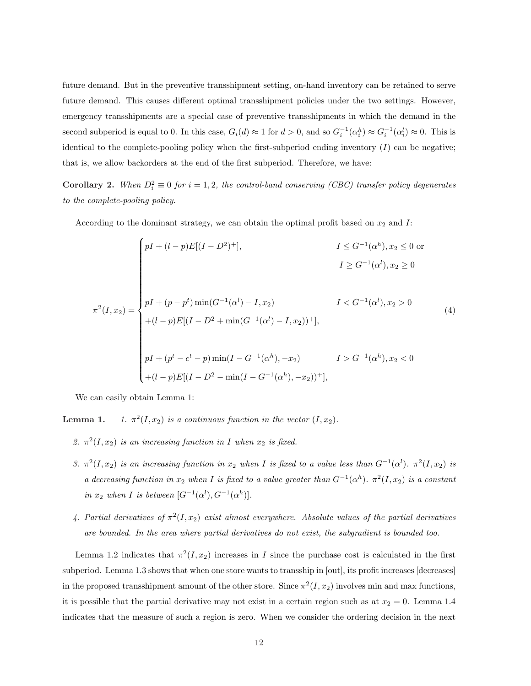future demand. But in the preventive transshipment setting, on-hand inventory can be retained to serve future demand. This causes different optimal transshipment policies under the two settings. However, emergency transshipments are a special case of preventive transshipments in which the demand in the second subperiod is equal to 0. In this case,  $G_i(d) \approx 1$  for  $d > 0$ , and so  $G_i^{-1}(\alpha_i^h) \approx G_i^{-1}(\alpha_i^l) \approx 0$ . This is identical to the complete-pooling policy when the first-subperiod ending inventory  $(I)$  can be negative; that is, we allow backorders at the end of the first subperiod. Therefore, we have:

**Corollary 2.** When  $D_i^2 \equiv 0$  for  $i = 1, 2$ , the control-band conserving (CBC) transfer policy degenerates to the complete-pooling policy.

According to the dominant strategy, we can obtain the optimal profit based on  $x_2$  and  $I$ :

$$
\pi^{2}(I, x_{2}) = \begin{cases}\npI + (l-p)E[(I - D^{2})^{+}], & I \leq G^{-1}(\alpha^{h}), x_{2} \leq 0 \text{ or} \\
& I \geq G^{-1}(\alpha^{l}), x_{2} \geq 0 \\
pI + (p - p^{t})\min(G^{-1}(\alpha^{l}) - I, x_{2}) & I < G^{-1}(\alpha^{l}), x_{2} > 0 \\
+(l - p)E[(I - D^{2} + \min(G^{-1}(\alpha^{l}) - I, x_{2}))^{+}], \\
pI + (p^{t} - c^{t} - p)\min(I - G^{-1}(\alpha^{h}), -x_{2}) & I > G^{-1}(\alpha^{h}), x_{2} < 0 \\
+(l - p)E[(I - D^{2} - \min(I - G^{-1}(\alpha^{h}), -x_{2}))^{+}],\n\end{cases} (4)
$$

We can easily obtain Lemma 1:

Lemma 1.  $2(I, x_2)$  is a continuous function in the vector  $(I, x_2)$ .

- 2.  $\pi^2(I, x_2)$  is an increasing function in I when  $x_2$  is fixed.
- 3.  $\pi^2(I, x_2)$  is an increasing function in  $x_2$  when I is fixed to a value less than  $G^{-1}(\alpha^l)$ .  $\pi^2(I, x_2)$  is a decreasing function in  $x_2$  when I is fixed to a value greater than  $G^{-1}(\alpha^h)$ .  $\pi^2(I, x_2)$  is a constant in  $x_2$  when I is between  $[G^{-1}(\alpha^l), G^{-1}(\alpha^h)].$
- 4. Partial derivatives of  $\pi^2(I, x_2)$  exist almost everywhere. Absolute values of the partial derivatives are bounded. In the area where partial derivatives do not exist, the subgradient is bounded too.

Lemma 1.2 indicates that  $\pi^2(I, x_2)$  increases in I since the purchase cost is calculated in the first subperiod. Lemma 1.3 shows that when one store wants to transship in [out], its profit increases [decreases] in the proposed transshipment amount of the other store. Since  $\pi^2(I, x_2)$  involves min and max functions, it is possible that the partial derivative may not exist in a certain region such as at  $x_2 = 0$ . Lemma 1.4 indicates that the measure of such a region is zero. When we consider the ordering decision in the next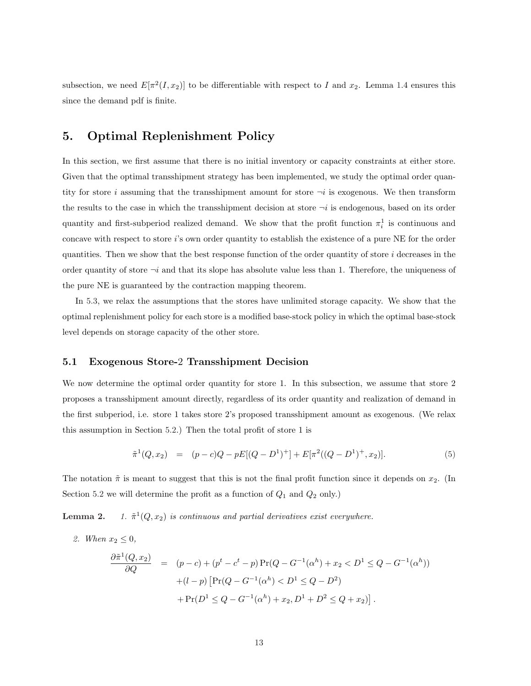subsection, we need  $E[\pi^2(I, x_2)]$  to be differentiable with respect to I and  $x_2$ . Lemma 1.4 ensures this since the demand pdf is finite.

# 5. Optimal Replenishment Policy

In this section, we first assume that there is no initial inventory or capacity constraints at either store. Given that the optimal transshipment strategy has been implemented, we study the optimal order quantity for store i assuming that the transshipment amount for store  $\neg i$  is exogenous. We then transform the results to the case in which the transshipment decision at store  $\neg i$  is endogenous, based on its order quantity and first-subperiod realized demand. We show that the profit function  $\pi_i^1$  is continuous and concave with respect to store i's own order quantity to establish the existence of a pure NE for the order quantities. Then we show that the best response function of the order quantity of store i decreases in the order quantity of store  $\neg i$  and that its slope has absolute value less than 1. Therefore, the uniqueness of the pure NE is guaranteed by the contraction mapping theorem.

In 5.3, we relax the assumptions that the stores have unlimited storage capacity. We show that the optimal replenishment policy for each store is a modified base-stock policy in which the optimal base-stock level depends on storage capacity of the other store.

## 5.1 Exogenous Store-2 Transshipment Decision

We now determine the optimal order quantity for store 1. In this subsection, we assume that store 2 proposes a transshipment amount directly, regardless of its order quantity and realization of demand in the first subperiod, i.e. store 1 takes store 2's proposed transshipment amount as exogenous. (We relax this assumption in Section 5.2.) Then the total profit of store 1 is

$$
\tilde{\pi}^1(Q, x_2) = (p - c)Q - pE[(Q - D^1)^+] + E[\pi^2((Q - D^1)^+, x_2)]. \tag{5}
$$

The notation  $\tilde{\pi}$  is meant to suggest that this is not the final profit function since it depends on  $x_2$ . (In Section 5.2 we will determine the profit as a function of  $Q_1$  and  $Q_2$  only.)

Lemma 2.  $1(Q, x_2)$  is continuous and partial derivatives exist everywhere.

2. When  $x_2 \leq 0$ ,

$$
\frac{\partial \tilde{\pi}^1(Q, x_2)}{\partial Q} = (p - c) + (p^t - c^t - p) \Pr(Q - G^{-1}(\alpha^h) + x_2 < D^1 \le Q - G^{-1}(\alpha^h))
$$
\n
$$
+ (l - p) \left[ \Pr(Q - G^{-1}(\alpha^h) < D^1 \le Q - D^2) + \Pr(D^1 \le Q - G^{-1}(\alpha^h) + x_2, D^1 + D^2 \le Q + x_2) \right].
$$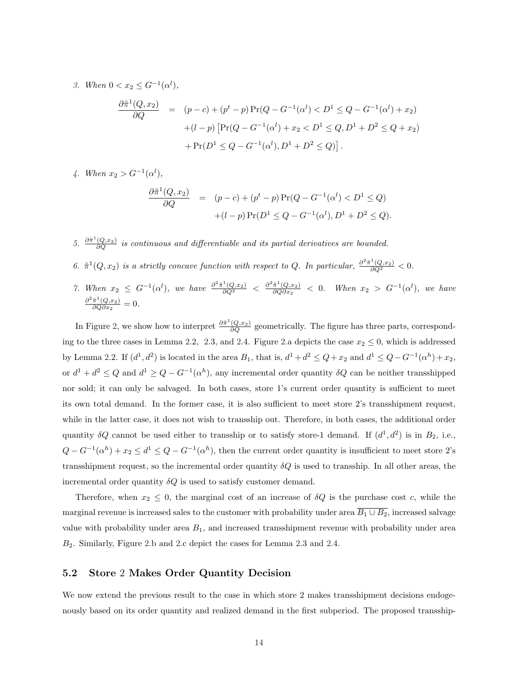3. When  $0 < x_2 \leq G^{-1}(\alpha^l)$ ,

$$
\frac{\partial \tilde{\pi}^1(Q, x_2)}{\partial Q} = (p - c) + (p^t - p) \Pr(Q - G^{-1}(\alpha^l) < D^1 \le Q - G^{-1}(\alpha^l) + x_2) \\
+ (l - p) \left[ \Pr(Q - G^{-1}(\alpha^l) + x_2 < D^1 \le Q, D^1 + D^2 \le Q + x_2) \right. \\
\left. + \Pr(D^1 \le Q - G^{-1}(\alpha^l), D^1 + D^2 \le Q) \right].
$$

4. When  $x_2 > G^{-1}(\alpha^l)$ ,

$$
\frac{\partial \tilde{\pi}^1(Q, x_2)}{\partial Q} = (p - c) + (p^t - p) \Pr(Q - G^{-1}(\alpha^l) < D^1 \le Q) \\
 \quad + (l - p) \Pr(D^1 \le Q - G^{-1}(\alpha^l), D^1 + D^2 \le Q).
$$

- 5.  $\frac{\partial \tilde{\pi}^1(Q,x_2)}{\partial Q}$  is continuous and differentiable and its partial derivatives are bounded.
- 6.  $\tilde{\pi}^1(Q, x_2)$  is a strictly concave function with respect to Q. In particular,  $\frac{\partial^2 \tilde{\pi}^1(Q, x_2)}{\partial Q^2} < 0$ .
- 7. When  $x_2 \leq G^{-1}(\alpha^l)$ , we have  $\frac{\partial^2 \tilde{\pi}^1(Q,x_2)}{\partial Q^2} \leq \frac{\partial^2 \tilde{\pi}^1(Q,x_2)}{\partial Q \partial x_2}$  $\frac{\pi^2(Q,x_2)}{\partial Q\partial x_2}$  < 0. When  $x_2 > G^{-1}(\alpha^l)$ , we have  $\partial^2 \tilde{\pi}^1(Q,\!x_2)$  $\frac{\pi^2(Q,x_2)}{\partial Q \partial x_2} = 0.$

In Figure 2, we show how to interpret  $\frac{\partial \tilde{\pi}^1(Q,x_2)}{\partial Q}$  geometrically. The figure has three parts, corresponding to the three cases in Lemma 2.2, 2.3, and 2.4. Figure 2.a depicts the case  $x_2 \le 0$ , which is addressed by Lemma 2.2. If  $(d^1, d^2)$  is located in the area  $B_1$ , that is,  $d^1 + d^2 \le Q + x_2$  and  $d^1 \le Q - G^{-1}(\alpha^h) + x_2$ , or  $d^1 + d^2 \leq Q$  and  $d^1 \geq Q - G^{-1}(\alpha^h)$ , any incremental order quantity  $\delta Q$  can be neither transshipped nor sold; it can only be salvaged. In both cases, store 1's current order quantity is sufficient to meet its own total demand. In the former case, it is also sufficient to meet store 2's transshipment request, while in the latter case, it does not wish to transship out. Therefore, in both cases, the additional order quantity  $\delta Q$  cannot be used either to transship or to satisfy store-1 demand. If  $(d^1, d^2)$  is in  $B_2$ , i.e.,  $Q - G^{-1}(\alpha^h) + x_2 \leq d^1 \leq Q - G^{-1}(\alpha^h)$ , then the current order quantity is insufficient to meet store 2's transshipment request, so the incremental order quantity  $\delta Q$  is used to transship. In all other areas, the incremental order quantity  $\delta Q$  is used to satisfy customer demand.

Therefore, when  $x_2 \leq 0$ , the marginal cost of an increase of  $\delta Q$  is the purchase cost c, while the marginal revenue is increased sales to the customer with probability under area  $\overline{B_1 \cup B_2}$ , increased salvage value with probability under area  $B_1$ , and increased transshipment revenue with probability under area B2. Similarly, Figure 2.b and 2.c depict the cases for Lemma 2.3 and 2.4.

## 5.2 Store 2 Makes Order Quantity Decision

We now extend the previous result to the case in which store 2 makes transshipment decisions endogenously based on its order quantity and realized demand in the first subperiod. The proposed transship-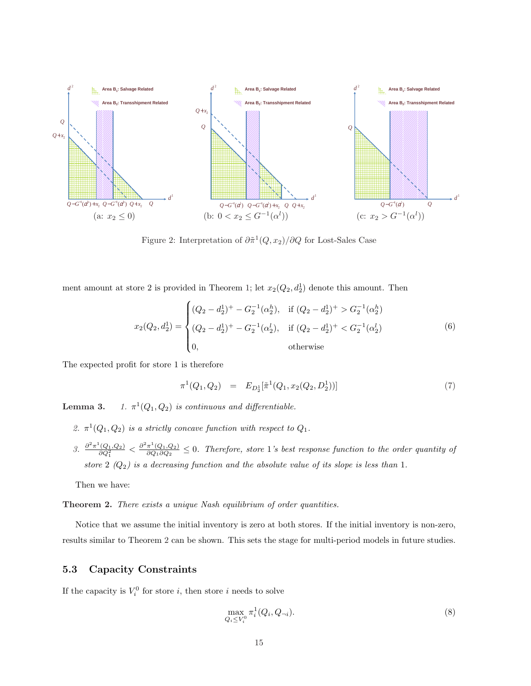

Figure 2: Interpretation of  $\partial \tilde{\pi}^1(Q, x_2)/\partial Q$  for Lost-Sales Case

ment amount at store 2 is provided in Theorem 1; let  $x_2(Q_2, d_2)$  denote this amount. Then

$$
x_2(Q_2, d_2^1) = \begin{cases} (Q_2 - d_2^1)^+ - G_2^{-1}(\alpha_2^h), & \text{if } (Q_2 - d_2^1)^+ > G_2^{-1}(\alpha_2^h) \\ (Q_2 - d_2^1)^+ - G_2^{-1}(\alpha_2^l), & \text{if } (Q_2 - d_2^1)^+ < G_2^{-1}(\alpha_2^l) \\ 0, & \text{otherwise} \end{cases}
$$
(6)

The expected profit for store 1 is therefore

$$
\pi^1(Q_1, Q_2) = E_{D_2^1}[\tilde{\pi}^1(Q_1, x_2(Q_2, D_2^1))]
$$
\n(7)

Lemma 3.  $^{1}(Q_1,Q_2)$  is continuous and differentiable.

- 2.  $\pi^1(Q_1, Q_2)$  is a strictly concave function with respect to  $Q_1$ .
- 3.  $\frac{\partial^2 \pi^1(Q_1, Q_2)}{\partial Q_1^2} < \frac{\partial^2 \pi^1(Q_1, Q_2)}{\partial Q_1 \partial Q_2}$  $\frac{\pi^2(Q_1,Q_2)}{\partial Q_1 \partial Q_2} \leq 0$ . Therefore, store 1's best response function to the order quantity of store 2  $(Q_2)$  is a decreasing function and the absolute value of its slope is less than 1.

Then we have:

Theorem 2. There exists a unique Nash equilibrium of order quantities.

Notice that we assume the initial inventory is zero at both stores. If the initial inventory is non-zero, results similar to Theorem 2 can be shown. This sets the stage for multi-period models in future studies.

#### 5.3 Capacity Constraints

If the capacity is  $V_i^0$  for store *i*, then store *i* needs to solve

$$
\max_{Q_i \le V_i^0} \pi_i^1(Q_i, Q_{\neg i}).\tag{8}
$$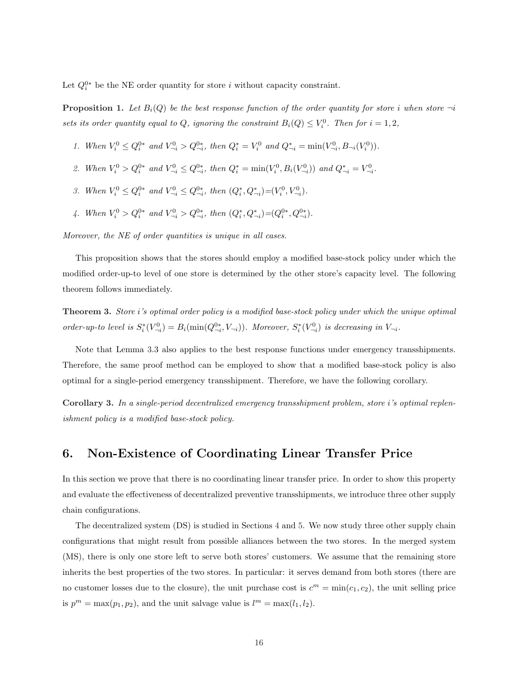Let  $Q_i^{0*}$  be the NE order quantity for store i without capacity constraint.

**Proposition 1.** Let  $B_i(Q)$  be the best response function of the order quantity for store i when store  $\neg i$ sets its order quantity equal to Q, ignoring the constraint  $B_i(Q) \leq V_i^0$ . Then for  $i = 1, 2$ ,

- 1. When  $V_i^0 \n\t\leq Q_i^{0*}$  and  $V_{\neg i}^0 > Q_{\neg i}^{0*}$ , then  $Q_i^* = V_i^0$  and  $Q_{\neg i}^* = \min(V_{\neg i}^0, B_{\neg i}(V_i^0)).$
- 2. When  $V_i^0 > Q_i^{0*}$  and  $V_{\neg i}^0 \leq Q_{\neg i}^{0*}$ , then  $Q_i^* = \min(V_i^0, B_i(V_{\neg i}^0))$  and  $Q_{\neg i}^* = V_{\neg i}^0$ .
- 3. When  $V_i^0 \n\t\le Q_i^{0*}$  and  $V_{\neg i}^0 \le Q_{\neg i}^{0*}$ , then  $(Q_i^*, Q_{\neg i}^*)=(V_i^0, V_{\neg i}^0)$ .
- 4. When  $V_i^0 > Q_i^{0*}$  and  $V_{\neg i}^0 > Q_{\neg i}^{0*}$ , then  $(Q_i^*, Q_{\neg i}^*) = (Q_i^{0*}, Q_{\neg i}^{0*})$ .

Moreover, the NE of order quantities is unique in all cases.

This proposition shows that the stores should employ a modified base-stock policy under which the modified order-up-to level of one store is determined by the other store's capacity level. The following theorem follows immediately.

Theorem 3. Store i's optimal order policy is a modified base-stock policy under which the unique optimal order-up-to level is  $S_i^*(V_{\neg i}^0) = B_i(\min(Q_{\neg i}^{0*}, V_{\neg i}))$ . Moreover,  $S_i^*(V_{\neg i}^0)$  is decreasing in  $V_{\neg i}$ .

Note that Lemma 3.3 also applies to the best response functions under emergency transshipments. Therefore, the same proof method can be employed to show that a modified base-stock policy is also optimal for a single-period emergency transshipment. Therefore, we have the following corollary.

Corollary 3. In a single-period decentralized emergency transshipment problem, store i's optimal replenishment policy is a modified base-stock policy.

# 6. Non-Existence of Coordinating Linear Transfer Price

In this section we prove that there is no coordinating linear transfer price. In order to show this property and evaluate the effectiveness of decentralized preventive transshipments, we introduce three other supply chain configurations.

The decentralized system (DS) is studied in Sections 4 and 5. We now study three other supply chain configurations that might result from possible alliances between the two stores. In the merged system (MS), there is only one store left to serve both stores' customers. We assume that the remaining store inherits the best properties of the two stores. In particular: it serves demand from both stores (there are no customer losses due to the closure), the unit purchase cost is  $c^m = \min(c_1, c_2)$ , the unit selling price is  $p^m = \max(p_1, p_2)$ , and the unit salvage value is  $l^m = \max(l_1, l_2)$ .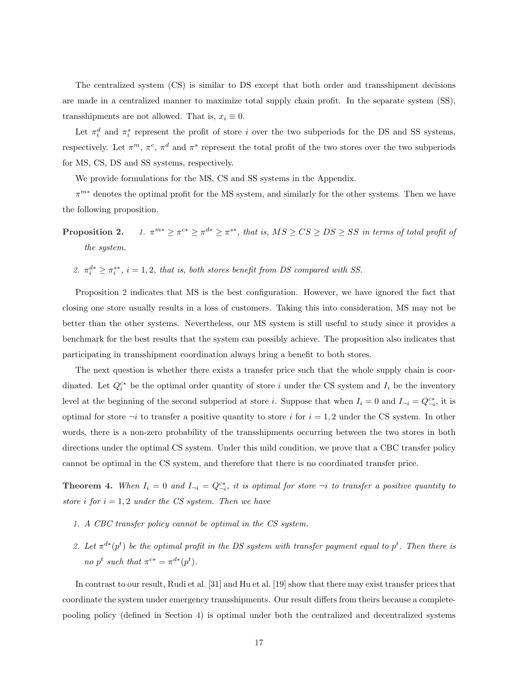The centralized system (CS) is similar to DS except that both order and transshipment decisions are made in a centralized manner to maximize total supply chain profit. In the separate system (SS), transshipments are not allowed. That is,  $x_i \equiv 0$ .

Let  $\pi_i^d$  and  $\pi_i^s$  represent the profit of store *i* over the two subperiods for the DS and SS systems, respectively. Let  $\pi^m$ ,  $\pi^c$ ,  $\pi^d$  and  $\pi^s$  represent the total profit of the two stores over the two subperiods for MS, CS, DS and SS systems, respectively.

We provide formulations for the MS, CS and SS systems in the Appendix.

 $\pi^{m*}$  denotes the optimal profit for the MS system, and similarly for the other systems. Then we have the following proposition.

Proposition 2.  $\mathbb{R}^{m*} \geq \pi^{c*} \geq \pi^{d*} \geq \pi^{s*}$ , that is,  $MS \geq CS \geq DS \geq SS$  in terms of total profit of the system.

2.  $\pi_i^{d*} \geq \pi_i^{s*}, i = 1, 2$ , that is, both stores benefit from DS compared with SS.

Proposition 2 indicates that MS is the best configuration. However, we have ignored the fact that closing one store usually results in a loss of customers. Taking this into consideration, MS may not be better than the other systems. Nevertheless, our MS system is still useful to study since it provides a benchmark for the best results that the system can possibly achieve. The proposition also indicates that participating in transshipment coordination always bring a benefit to both stores.

The next question is whether there exists a transfer price such that the whole supply chain is coordinated. Let  $Q_i^{c*}$  be the optimal order quantity of store i under the CS system and  $I_i$  be the inventory level at the beginning of the second subperiod at store *i*. Suppose that when  $I_i = 0$  and  $I_{\neg i} = Q_{\neg i}^{c*}$ , it is optimal for store  $-i$  to transfer a positive quantity to store i for  $i = 1, 2$  under the CS system. In other words, there is a non-zero probability of the transshipments occurring between the two stores in both directions under the optimal CS system. Under this mild condition, we prove that a CBC transfer policy cannot be optimal in the CS system, and therefore that there is no coordinated transfer price.

**Theorem 4.** When  $I_i = 0$  and  $I_{\neg i} = Q_{\neg i}^{c*}$ , it is optimal for store  $\neg i$  to transfer a positive quantity to store i for  $i = 1, 2$  under the CS system. Then we have

- 1. A CBC transfer policy cannot be optimal in the CS system.
- 2. Let  $\pi^{d*}(p^t)$  be the optimal profit in the DS system with transfer payment equal to  $p^t$ . Then there is no p<sup>t</sup> such that  $\pi^{c*} = \pi^{d*}(p^t)$ .

In contrast to our result, Rudi et al. [31] and Hu et al. [19] show that there may exist transfer prices that coordinate the system under emergency transshipments. Our result differs from theirs because a completepooling policy (defined in Section 4) is optimal under both the centralized and decentralized systems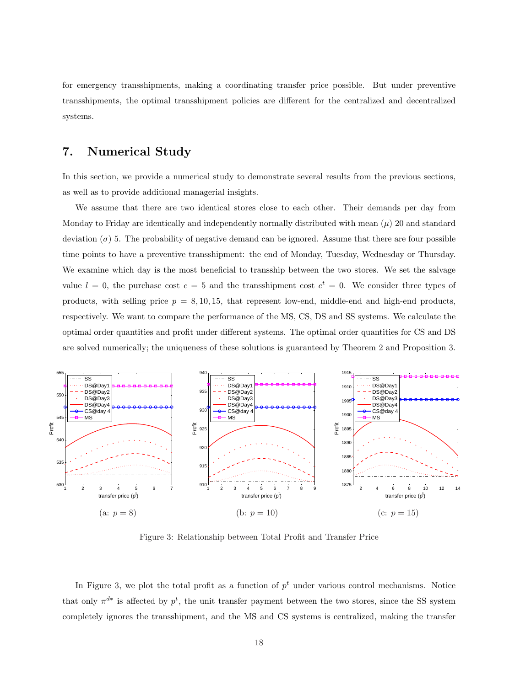for emergency transshipments, making a coordinating transfer price possible. But under preventive transshipments, the optimal transshipment policies are different for the centralized and decentralized systems.

# 7. Numerical Study

In this section, we provide a numerical study to demonstrate several results from the previous sections, as well as to provide additional managerial insights.

We assume that there are two identical stores close to each other. Their demands per day from Monday to Friday are identically and independently normally distributed with mean  $(\mu)$  20 and standard deviation  $(\sigma)$  5. The probability of negative demand can be ignored. Assume that there are four possible time points to have a preventive transshipment: the end of Monday, Tuesday, Wednesday or Thursday. We examine which day is the most beneficial to transship between the two stores. We set the salvage value  $l = 0$ , the purchase cost  $c = 5$  and the transshipment cost  $c^t = 0$ . We consider three types of products, with selling price  $p = 8, 10, 15$ , that represent low-end, middle-end and high-end products, respectively. We want to compare the performance of the MS, CS, DS and SS systems. We calculate the optimal order quantities and profit under different systems. The optimal order quantities for CS and DS are solved numerically; the uniqueness of these solutions is guaranteed by Theorem 2 and Proposition 3.



Figure 3: Relationship between Total Profit and Transfer Price

In Figure 3, we plot the total profit as a function of  $p<sup>t</sup>$  under various control mechanisms. Notice that only  $\pi^{d*}$  is affected by  $p^t$ , the unit transfer payment between the two stores, since the SS system completely ignores the transshipment, and the MS and CS systems is centralized, making the transfer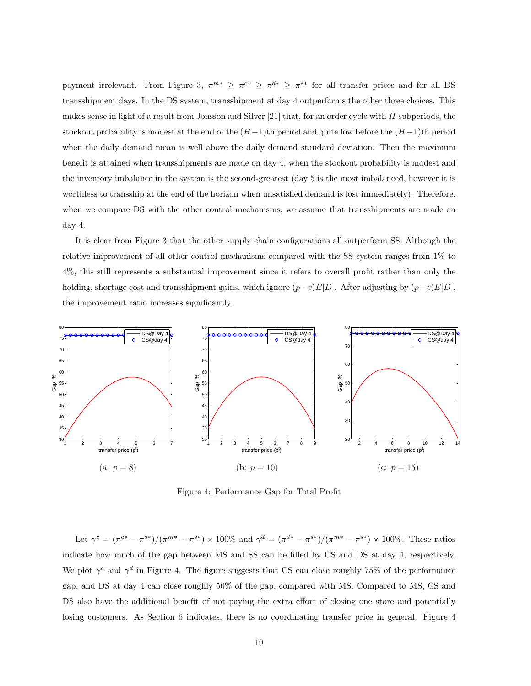payment irrelevant. From Figure 3,  $\pi^{m*} \geq \pi^{c*} \geq \pi^{d*} \geq \pi^{s*}$  for all transfer prices and for all DS transshipment days. In the DS system, transshipment at day 4 outperforms the other three choices. This makes sense in light of a result from Jonsson and Silver [21] that, for an order cycle with H subperiods, the stockout probability is modest at the end of the  $(H-1)$ th period and quite low before the  $(H-1)$ th period when the daily demand mean is well above the daily demand standard deviation. Then the maximum benefit is attained when transshipments are made on day 4, when the stockout probability is modest and the inventory imbalance in the system is the second-greatest (day 5 is the most imbalanced, however it is worthless to transship at the end of the horizon when unsatisfied demand is lost immediately). Therefore, when we compare DS with the other control mechanisms, we assume that transshipments are made on day 4.

It is clear from Figure 3 that the other supply chain configurations all outperform SS. Although the relative improvement of all other control mechanisms compared with the SS system ranges from 1% to 4%, this still represents a substantial improvement since it refers to overall profit rather than only the holding, shortage cost and transshipment gains, which ignore  $(p-c)E[D]$ . After adjusting by  $(p-c)E[D]$ , the improvement ratio increases significantly.



Figure 4: Performance Gap for Total Profit

Let  $\gamma^c = (\pi^{c*} - \pi^{s*})/(\pi^{m*} - \pi^{s*}) \times 100\%$  and  $\gamma^d = (\pi^{d*} - \pi^{s*})/(\pi^{m*} - \pi^{s*}) \times 100\%.$  These ratios indicate how much of the gap between MS and SS can be filled by CS and DS at day 4, respectively. We plot  $\gamma^c$  and  $\gamma^d$  in Figure 4. The figure suggests that CS can close roughly 75% of the performance gap, and DS at day 4 can close roughly 50% of the gap, compared with MS. Compared to MS, CS and DS also have the additional benefit of not paying the extra effort of closing one store and potentially losing customers. As Section 6 indicates, there is no coordinating transfer price in general. Figure 4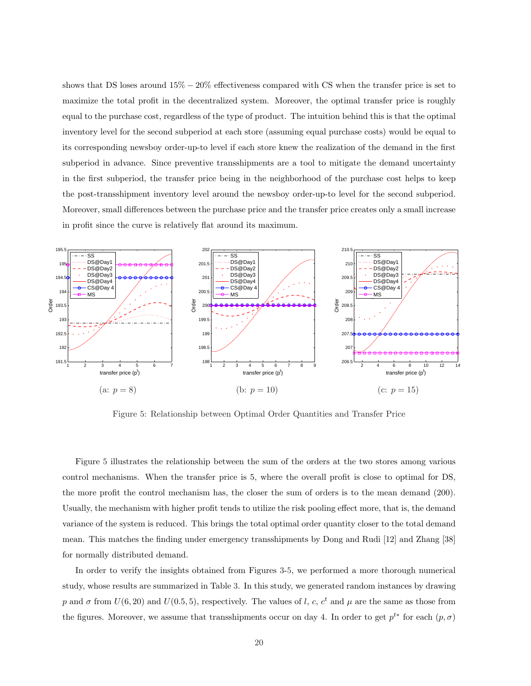shows that DS loses around  $15\% - 20\%$  effectiveness compared with CS when the transfer price is set to maximize the total profit in the decentralized system. Moreover, the optimal transfer price is roughly equal to the purchase cost, regardless of the type of product. The intuition behind this is that the optimal inventory level for the second subperiod at each store (assuming equal purchase costs) would be equal to its corresponding newsboy order-up-to level if each store knew the realization of the demand in the first subperiod in advance. Since preventive transshipments are a tool to mitigate the demand uncertainty in the first subperiod, the transfer price being in the neighborhood of the purchase cost helps to keep the post-transshipment inventory level around the newsboy order-up-to level for the second subperiod. Moreover, small differences between the purchase price and the transfer price creates only a small increase in profit since the curve is relatively flat around its maximum.



Figure 5: Relationship between Optimal Order Quantities and Transfer Price

Figure 5 illustrates the relationship between the sum of the orders at the two stores among various control mechanisms. When the transfer price is 5, where the overall profit is close to optimal for DS, the more profit the control mechanism has, the closer the sum of orders is to the mean demand (200). Usually, the mechanism with higher profit tends to utilize the risk pooling effect more, that is, the demand variance of the system is reduced. This brings the total optimal order quantity closer to the total demand mean. This matches the finding under emergency transshipments by Dong and Rudi [12] and Zhang [38] for normally distributed demand.

In order to verify the insights obtained from Figures 3-5, we performed a more thorough numerical study, whose results are summarized in Table 3. In this study, we generated random instances by drawing p and  $\sigma$  from  $U(6, 20)$  and  $U(0.5, 5)$ , respectively. The values of l, c,  $c<sup>t</sup>$  and  $\mu$  are the same as those from the figures. Moreover, we assume that transshipments occur on day 4. In order to get  $p^{t*}$  for each  $(p, \sigma)$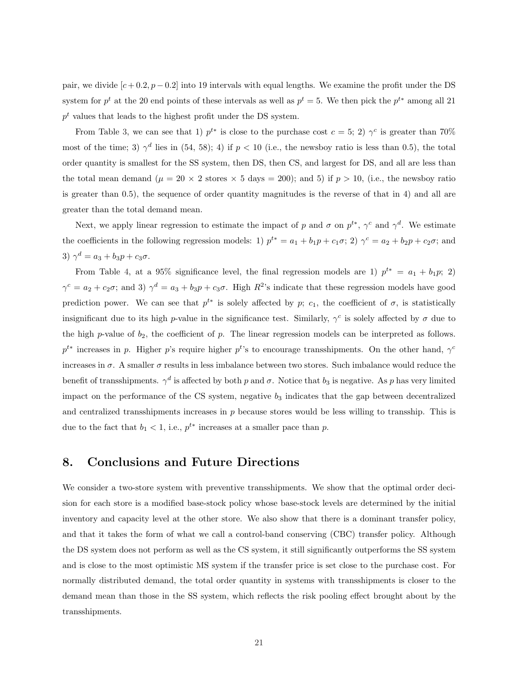pair, we divide  $[c+0.2, p-0.2]$  into 19 intervals with equal lengths. We examine the profit under the DS system for  $p^t$  at the 20 end points of these intervals as well as  $p^t = 5$ . We then pick the  $p^{t*}$  among all 21  $p<sup>t</sup>$  values that leads to the highest profit under the DS system.

From Table 3, we can see that 1)  $p^{t*}$  is close to the purchase cost  $c = 5$ ; 2)  $\gamma^c$  is greater than 70% most of the time; 3)  $\gamma^d$  lies in (54, 58); 4) if  $p < 10$  (i.e., the newsboy ratio is less than 0.5), the total order quantity is smallest for the SS system, then DS, then CS, and largest for DS, and all are less than the total mean demand ( $\mu = 20 \times 2$  stores  $\times 5$  days = 200); and 5) if  $p > 10$ , (i.e., the newsboy ratio is greater than 0.5), the sequence of order quantity magnitudes is the reverse of that in 4) and all are greater than the total demand mean.

Next, we apply linear regression to estimate the impact of p and  $\sigma$  on  $p^{t*}$ ,  $\gamma^c$  and  $\gamma^d$ . We estimate the coefficients in the following regression models: 1)  $p^{t*} = a_1 + b_1p + c_1\sigma$ ; 2)  $\gamma^c = a_2 + b_2p + c_2\sigma$ ; and 3)  $\gamma^d = a_3 + b_3 p + c_3 \sigma$ .

From Table 4, at a 95% significance level, the final regression models are 1)  $p^{t*} = a_1 + b_1 p;$  2)  $\gamma^c = a_2 + c_2\sigma$ ; and 3)  $\gamma^d = a_3 + b_3p + c_3\sigma$ . High  $R^2$ 's indicate that these regression models have good prediction power. We can see that  $p^{t*}$  is solely affected by p; c<sub>1</sub>, the coefficient of  $\sigma$ , is statistically insignificant due to its high p-value in the significance test. Similarly,  $\gamma^c$  is solely affected by  $\sigma$  due to the high p-value of  $b_2$ , the coefficient of p. The linear regression models can be interpreted as follows.  $p^{t*}$  increases in p. Higher p's require higher p<sup>t</sup>'s to encourage transshipments. On the other hand,  $\gamma^c$ increases in  $\sigma$ . A smaller  $\sigma$  results in less imbalance between two stores. Such imbalance would reduce the benefit of transshipments.  $\gamma^d$  is affected by both p and  $\sigma$ . Notice that  $b_3$  is negative. As p has very limited impact on the performance of the CS system, negative  $b_3$  indicates that the gap between decentralized and centralized transshipments increases in  $p$  because stores would be less willing to transship. This is due to the fact that  $b_1 < 1$ , i.e.,  $p^{t*}$  increases at a smaller pace than p.

# 8. Conclusions and Future Directions

We consider a two-store system with preventive transshipments. We show that the optimal order decision for each store is a modified base-stock policy whose base-stock levels are determined by the initial inventory and capacity level at the other store. We also show that there is a dominant transfer policy, and that it takes the form of what we call a control-band conserving (CBC) transfer policy. Although the DS system does not perform as well as the CS system, it still significantly outperforms the SS system and is close to the most optimistic MS system if the transfer price is set close to the purchase cost. For normally distributed demand, the total order quantity in systems with transshipments is closer to the demand mean than those in the SS system, which reflects the risk pooling effect brought about by the transshipments.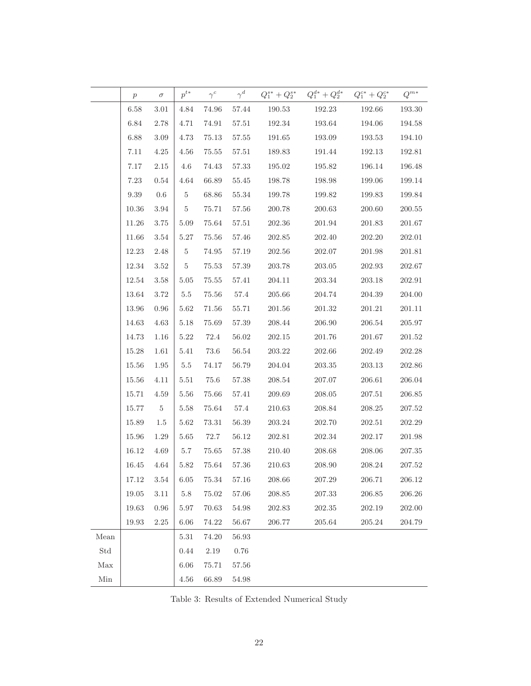|                      | $p \hspace{2em} \sigma$ |                 |                                             |           |           |                         | $p^{t*}\qquad \gamma^c \qquad \gamma^d \qquad Q^{s*}_{1} + Q^{s*}_{2} \quad \  Q^{d*}_{1} + Q^{d*}_{2} \quad \  Q^{c*}_{1} + Q^{c*}_{2} \qquad Q^{m*}$ |               |            |
|----------------------|-------------------------|-----------------|---------------------------------------------|-----------|-----------|-------------------------|--------------------------------------------------------------------------------------------------------------------------------------------------------|---------------|------------|
|                      | 6.58                    | $3.01\,$        | 4.84                                        |           |           |                         | 74.96 57.44 190.53 192.23                                                                                                                              | 192.66 193.30 |            |
|                      | $6.84\,$                | $2.78\,$        | 4.71                                        | 74.91     | 57.51     | 192.34                  | 193.64                                                                                                                                                 | 194.06        | 194.58     |
|                      | 6.88                    | $3.09\,$        | 4.73                                        | 75.13     | 57.55     | 191.65                  | 193.09                                                                                                                                                 | 193.53        | 194.10     |
|                      | 7.11                    | 4.25            | $4.56\,$                                    | 75.55     | 57.51     | 189.83                  | 191.44                                                                                                                                                 | 192.13        | 192.81     |
|                      | 7.17                    | 2.15            | $4.6\,$                                     | 74.43     | 57.33     | 195.02                  | 195.82                                                                                                                                                 | 196.14        | 196.48     |
|                      | 7.23                    | $0.54\,$        | $4.64\,$                                    | 66.89     | 55.45     | 198.78                  | 198.98                                                                                                                                                 | 199.06        | 199.14     |
|                      | $9.39\,$                | $0.6\,$         | $\begin{array}{ c c } \hline 5 \end{array}$ | 68.86     | 55.34     | 199.78                  | 199.82                                                                                                                                                 | 199.83        | 199.84     |
|                      | 10.36                   | 3.94            | $5\degree$                                  | 75.71     | $57.56\,$ | 200.78                  | 200.63                                                                                                                                                 | 200.60        | 200.55     |
|                      | 11.26                   | $3.75\,$        | $5.09\,$                                    | 75.64     | 57.51     | 202.36                  | $201.94\,$                                                                                                                                             | 201.83        | 201.67     |
|                      | 11.66                   | $3.54\,$        | 5.27                                        | 75.56     | 57.46     | 202.85                  | 202.40                                                                                                                                                 | 202.20        | 202.01     |
|                      | 12.23                   | $2.48\,$        | $5\degree$                                  | 74.95     | 57.19     | 202.56                  | 202.07                                                                                                                                                 | 201.98        | 201.81     |
|                      | $12.34\,$               | 3.52            | 5 <sub>5</sub>                              | 75.53     | 57.39     | 203.78                  | 203.05                                                                                                                                                 | 202.93        | 202.67     |
|                      | $12.54\,$               | $3.58\,$        | $5.05\,$                                    | 75.55     | 57.41     | 204.11                  | 203.34                                                                                                                                                 | 203.18        | 202.91     |
|                      | 13.64                   | $3.72\,$        | $5.5\,$                                     | 75.56     | 57.4      | 205.66                  | 204.74                                                                                                                                                 | 204.39        | 204.00     |
|                      | 13.96                   | $0.96\,$        | $5.62\,$                                    | 71.56     | 55.71     | 201.56                  | 201.32                                                                                                                                                 | 201.21        | 201.11     |
|                      | 14.63                   | $4.63\,$        | $5.18\,$                                    | 75.69     | 57.39     | 208.44                  | 206.90                                                                                                                                                 | 206.54        | 205.97     |
|                      | $14.73\,$               | $1.16\,$        | $5.22\,$                                    | 72.4      | 56.02     | 202.15                  | 201.76                                                                                                                                                 | 201.67        | 201.52     |
|                      | 15.28                   | 1.61            | $5.41\,$                                    | 73.6      | 56.54     | 203.22                  | 202.66                                                                                                                                                 | 202.49        | 202.28     |
|                      | $15.56\,$               | 1.95            | 5.5                                         | 74.17     | 56.79     | 204.04                  | 203.35                                                                                                                                                 | 203.13        | 202.86     |
|                      | 15.56                   | $4.11\,$        | $5.51\,$                                    | 75.6      | 57.38     | 208.54                  | 207.07                                                                                                                                                 | 206.61        | 206.04     |
|                      | $15.71\,$               | 4.59            | $5.56\,$                                    | 75.66     | 57.41     | 209.69                  | 208.05                                                                                                                                                 | 207.51        | 206.85     |
|                      | 15.77                   | $5\phantom{.0}$ | $5.58\,$                                    | 75.64     | 57.4      | 210.63                  | 208.84                                                                                                                                                 | 208.25        | 207.52     |
|                      | $15.89\,$               | 1.5             | $5.62\,$                                    | 73.31     | 56.39     | 203.24                  | 202.70                                                                                                                                                 | 202.51        | 202.29     |
|                      | 15.96                   | 1.29            | $5.65\,$                                    | 72.7      | 56.12     | 202.81                  | 202.34                                                                                                                                                 | 202.17        | 201.98     |
|                      | 16.12                   | 4.69            | 5.7                                         | 75.65     |           | 57.38 210.40            | 208.68                                                                                                                                                 | 208.06        | 207.35     |
|                      | 16.45                   | 4.64            |                                             |           |           | 5.82 75.64 57.36 210.63 | 208.90                                                                                                                                                 | 208.24        | 207.52     |
|                      | 17.12                   | $3.54\,$        | $6.05\,$                                    | $75.34\,$ | $57.16\,$ | $208.66\,$              | 207.29                                                                                                                                                 | 206.71        | 206.12     |
|                      | $19.05\,$               | $3.11\,$        | $5.8\,$                                     | $75.02\,$ | 57.06     | $\boldsymbol{208.85}$   | 207.33                                                                                                                                                 |               | 206.26     |
|                      | 19.63                   | 0.96            | 5.97                                        | 70.63     | $54.98\,$ | 202.83                  | 202.35                                                                                                                                                 | 202.19        | 202.00     |
|                      | 19.93                   | $2.25\,$        | 6.06                                        | 74.22     | $56.67\,$ | 206.77                  | $\hphantom{0}205.64$                                                                                                                                   | 205.24        | $204.79\,$ |
| Mean                 |                         |                 | $5.31\,$                                    | $74.20\,$ | $56.93\,$ |                         |                                                                                                                                                        |               |            |
| $\operatorname{Std}$ |                         |                 | 0.44                                        | $2.19\,$  | $0.76\,$  |                         |                                                                                                                                                        |               |            |
| Max                  |                         |                 | 6.06                                        | 75.71     | 57.56     |                         |                                                                                                                                                        |               |            |
| $\rm{Min}$           |                         |                 | 4.56                                        | 66.89     | 54.98     |                         |                                                                                                                                                        |               |            |

Table 3: Results of Extended Numerical Study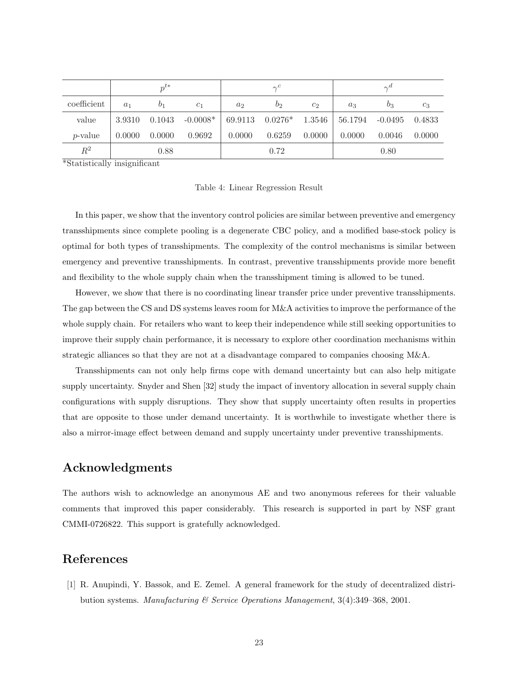|                | $n^{t*}$ |                |                | $\gamma^c$     |                 |                | $\gamma^a$ |                  |        |
|----------------|----------|----------------|----------------|----------------|-----------------|----------------|------------|------------------|--------|
| coefficient    | $a_1$    | b <sub>1</sub> | c <sub>1</sub> | a <sub>2</sub> | $b_2$           | c <sub>2</sub> | $a_3$      | $b_3$            | $c_3$  |
| value          | 3.9310   | 0.1043         | $-0.0008*$     |                | 69.9113 0.0276* | $1.3546$       | 56.1794    | $-0.0495$ 0.4833 |        |
| $p$ -value     | 0.0000   | 0.0000         | 0.9692         | 0.0000         | 0.6259          | 0.0000         | 0.0000     | 0.0046           | 0.0000 |
| $\mathbb{R}^2$ |          | 0.88           |                |                | 0.72            |                |            | 0.80             |        |

\*Statistically insignificant

Table 4: Linear Regression Result

In this paper, we show that the inventory control policies are similar between preventive and emergency transshipments since complete pooling is a degenerate CBC policy, and a modified base-stock policy is optimal for both types of transshipments. The complexity of the control mechanisms is similar between emergency and preventive transshipments. In contrast, preventive transshipments provide more benefit and flexibility to the whole supply chain when the transshipment timing is allowed to be tuned.

However, we show that there is no coordinating linear transfer price under preventive transshipments. The gap between the CS and DS systems leaves room for M&A activities to improve the performance of the whole supply chain. For retailers who want to keep their independence while still seeking opportunities to improve their supply chain performance, it is necessary to explore other coordination mechanisms within strategic alliances so that they are not at a disadvantage compared to companies choosing M&A.

Transshipments can not only help firms cope with demand uncertainty but can also help mitigate supply uncertainty. Snyder and Shen [32] study the impact of inventory allocation in several supply chain configurations with supply disruptions. They show that supply uncertainty often results in properties that are opposite to those under demand uncertainty. It is worthwhile to investigate whether there is also a mirror-image effect between demand and supply uncertainty under preventive transshipments.

# Acknowledgments

The authors wish to acknowledge an anonymous AE and two anonymous referees for their valuable comments that improved this paper considerably. This research is supported in part by NSF grant CMMI-0726822. This support is gratefully acknowledged.

# References

[1] R. Anupindi, Y. Bassok, and E. Zemel. A general framework for the study of decentralized distribution systems. Manufacturing & Service Operations Management, 3(4):349–368, 2001.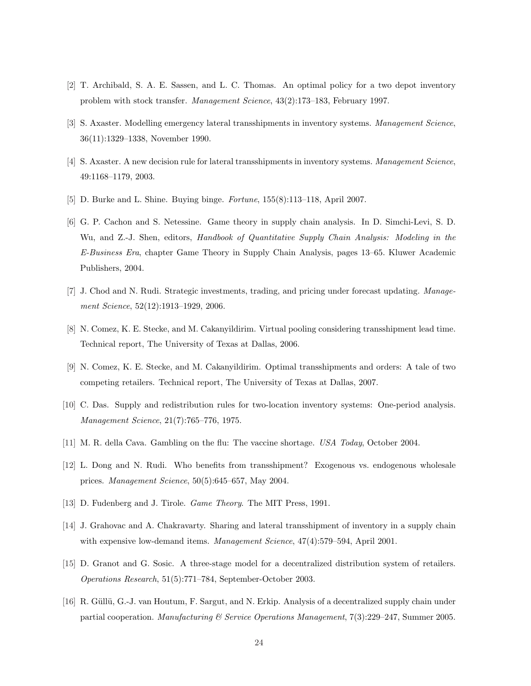- [2] T. Archibald, S. A. E. Sassen, and L. C. Thomas. An optimal policy for a two depot inventory problem with stock transfer. Management Science, 43(2):173–183, February 1997.
- [3] S. Axaster. Modelling emergency lateral transshipments in inventory systems. Management Science, 36(11):1329–1338, November 1990.
- [4] S. Axaster. A new decision rule for lateral transshipments in inventory systems. Management Science, 49:1168–1179, 2003.
- [5] D. Burke and L. Shine. Buying binge. Fortune, 155(8):113–118, April 2007.
- [6] G. P. Cachon and S. Netessine. Game theory in supply chain analysis. In D. Simchi-Levi, S. D. Wu, and Z.-J. Shen, editors, Handbook of Quantitative Supply Chain Analysis: Modeling in the E-Business Era, chapter Game Theory in Supply Chain Analysis, pages 13–65. Kluwer Academic Publishers, 2004.
- [7] J. Chod and N. Rudi. Strategic investments, trading, and pricing under forecast updating. Management Science, 52(12):1913–1929, 2006.
- [8] N. Comez, K. E. Stecke, and M. Cakanyildirim. Virtual pooling considering transshipment lead time. Technical report, The University of Texas at Dallas, 2006.
- [9] N. Comez, K. E. Stecke, and M. Cakanyildirim. Optimal transshipments and orders: A tale of two competing retailers. Technical report, The University of Texas at Dallas, 2007.
- [10] C. Das. Supply and redistribution rules for two-location inventory systems: One-period analysis. Management Science, 21(7):765–776, 1975.
- [11] M. R. della Cava. Gambling on the flu: The vaccine shortage. USA Today, October 2004.
- [12] L. Dong and N. Rudi. Who benefits from transshipment? Exogenous vs. endogenous wholesale prices. Management Science, 50(5):645–657, May 2004.
- [13] D. Fudenberg and J. Tirole. *Game Theory*. The MIT Press, 1991.
- [14] J. Grahovac and A. Chakravarty. Sharing and lateral transshipment of inventory in a supply chain with expensive low-demand items. *Management Science*,  $47(4)$ :579–594, April 2001.
- [15] D. Granot and G. Sosic. A three-stage model for a decentralized distribution system of retailers. Operations Research, 51(5):771–784, September-October 2003.
- [16] R. Güllü, G.-J. van Houtum, F. Sargut, and N. Erkip. Analysis of a decentralized supply chain under partial cooperation. Manufacturing & Service Operations Management, 7(3):229–247, Summer 2005.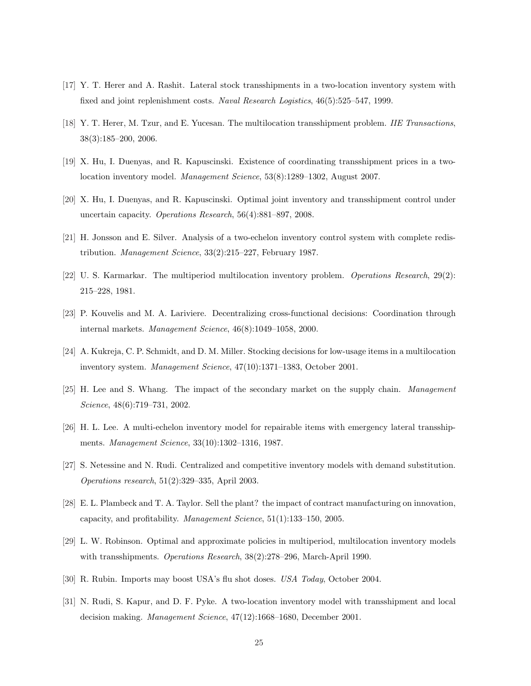- [17] Y. T. Herer and A. Rashit. Lateral stock transshipments in a two-location inventory system with fixed and joint replenishment costs. Naval Research Logistics, 46(5):525–547, 1999.
- [18] Y. T. Herer, M. Tzur, and E. Yucesan. The multilocation transshipment problem. IIE Transactions, 38(3):185–200, 2006.
- [19] X. Hu, I. Duenyas, and R. Kapuscinski. Existence of coordinating transshipment prices in a twolocation inventory model. Management Science, 53(8):1289–1302, August 2007.
- [20] X. Hu, I. Duenyas, and R. Kapuscinski. Optimal joint inventory and transshipment control under uncertain capacity. Operations Research, 56(4):881–897, 2008.
- [21] H. Jonsson and E. Silver. Analysis of a two-echelon inventory control system with complete redistribution. Management Science, 33(2):215–227, February 1987.
- [22] U. S. Karmarkar. The multiperiod multilocation inventory problem. *Operations Research*, 29(2): 215–228, 1981.
- [23] P. Kouvelis and M. A. Lariviere. Decentralizing cross-functional decisions: Coordination through internal markets. Management Science, 46(8):1049–1058, 2000.
- [24] A. Kukreja, C. P. Schmidt, and D. M. Miller. Stocking decisions for low-usage items in a multilocation inventory system. Management Science, 47(10):1371–1383, October 2001.
- [25] H. Lee and S. Whang. The impact of the secondary market on the supply chain. Management Science, 48(6):719–731, 2002.
- [26] H. L. Lee. A multi-echelon inventory model for repairable items with emergency lateral transshipments. Management Science, 33(10):1302–1316, 1987.
- [27] S. Netessine and N. Rudi. Centralized and competitive inventory models with demand substitution. Operations research, 51(2):329–335, April 2003.
- [28] E. L. Plambeck and T. A. Taylor. Sell the plant? the impact of contract manufacturing on innovation, capacity, and profitability. Management Science, 51(1):133–150, 2005.
- [29] L. W. Robinson. Optimal and approximate policies in multiperiod, multilocation inventory models with transshipments. Operations Research, 38(2):278–296, March-April 1990.
- [30] R. Rubin. Imports may boost USA's flu shot doses. USA Today, October 2004.
- [31] N. Rudi, S. Kapur, and D. F. Pyke. A two-location inventory model with transshipment and local decision making. Management Science, 47(12):1668–1680, December 2001.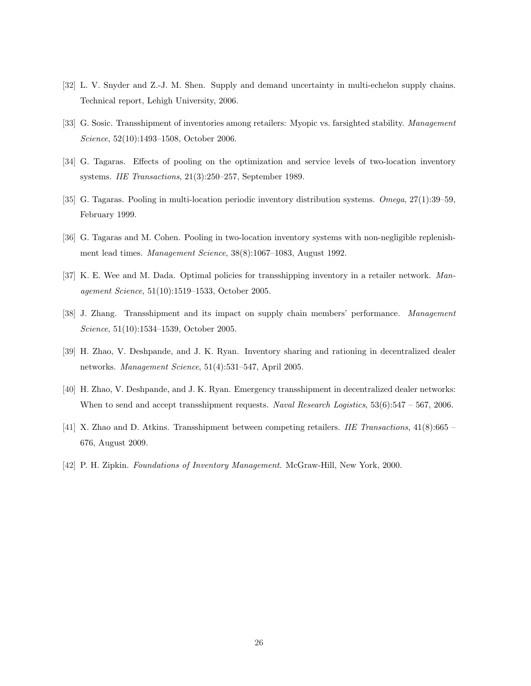- [32] L. V. Snyder and Z.-J. M. Shen. Supply and demand uncertainty in multi-echelon supply chains. Technical report, Lehigh University, 2006.
- [33] G. Sosic. Transshipment of inventories among retailers: Myopic vs. farsighted stability. Management Science, 52(10):1493–1508, October 2006.
- [34] G. Tagaras. Effects of pooling on the optimization and service levels of two-location inventory systems. IIE Transactions, 21(3):250–257, September 1989.
- [35] G. Tagaras. Pooling in multi-location periodic inventory distribution systems. Omega, 27(1):39–59, February 1999.
- [36] G. Tagaras and M. Cohen. Pooling in two-location inventory systems with non-negligible replenishment lead times. Management Science, 38(8):1067–1083, August 1992.
- [37] K. E. Wee and M. Dada. Optimal policies for transshipping inventory in a retailer network. Management Science, 51(10):1519–1533, October 2005.
- [38] J. Zhang. Transshipment and its impact on supply chain members' performance. Management Science, 51(10):1534–1539, October 2005.
- [39] H. Zhao, V. Deshpande, and J. K. Ryan. Inventory sharing and rationing in decentralized dealer networks. Management Science, 51(4):531–547, April 2005.
- [40] H. Zhao, V. Deshpande, and J. K. Ryan. Emergency transshipment in decentralized dealer networks: When to send and accept transshipment requests. Naval Research Logistics, 53(6):547 – 567, 2006.
- [41] X. Zhao and D. Atkins. Transshipment between competing retailers. IIE Transactions, 41(8):665 676, August 2009.
- [42] P. H. Zipkin. Foundations of Inventory Management. McGraw-Hill, New York, 2000.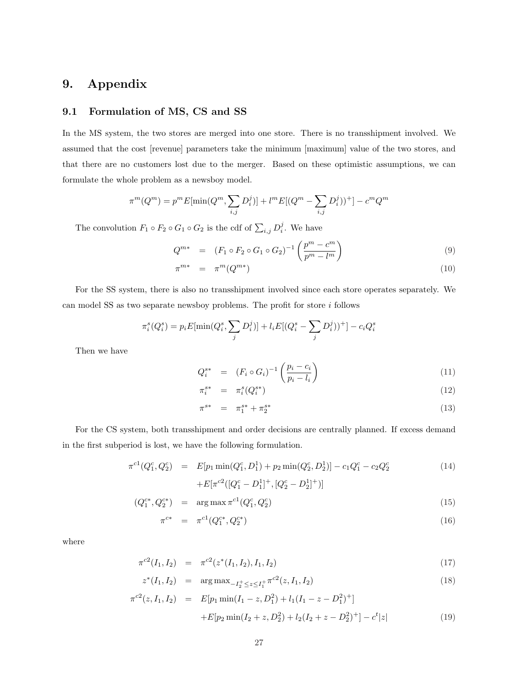# 9. Appendix

## 9.1 Formulation of MS, CS and SS

In the MS system, the two stores are merged into one store. There is no transshipment involved. We assumed that the cost [revenue] parameters take the minimum [maximum] value of the two stores, and that there are no customers lost due to the merger. Based on these optimistic assumptions, we can formulate the whole problem as a newsboy model.

$$
\pi^m(Q^m) = p^m E[\min(Q^m, \sum_{i,j} D_i^j)] + l^m E[(Q^m - \sum_{i,j} D_i^j))^+] - c^m Q^m
$$

The convolution  $F_1 \circ F_2 \circ G_1 \circ G_2$  is the cdf of  $\sum_{i,j} D_i^j$ . We have

$$
Q^{m*} = (F_1 \circ F_2 \circ G_1 \circ G_2)^{-1} \left( \frac{p^m - c^m}{p^m - l^m} \right)
$$
 (9)

$$
\pi^{m*} = \pi^m(Q^{m*}) \tag{10}
$$

For the SS system, there is also no transshipment involved since each store operates separately. We can model SS as two separate newsboy problems. The profit for store  $i$  follows

$$
\pi_i^s(Q_i^s) = p_i E[\min(Q_i^s, \sum_j D_i^j)] + l_i E[(Q_i^s - \sum_j D_i^j))^+] - c_i Q_i^s
$$

Then we have

$$
Q_i^{s*} = (F_i \circ G_i)^{-1} \left( \frac{p_i - c_i}{p_i - l_i} \right)
$$
\n
$$
(11)
$$

$$
\pi_i^{s*} = \pi_i^s(Q_i^{s*}) \tag{12}
$$

$$
\pi^{s*} = \pi_1^{s*} + \pi_2^{s*} \tag{13}
$$

For the CS system, both transshipment and order decisions are centrally planned. If excess demand in the first subperiod is lost, we have the following formulation.

$$
\pi^{c1}(Q_1^c, Q_2^c) = E[p_1 \min(Q_1^c, D_1^1) + p_2 \min(Q_2^c, D_2^1)] - c_1 Q_1^c - c_2 Q_2^c
$$
\n
$$
+ E[\pi^{c2}([Q_1^c - D_1^1]^+, [Q_2^c - D_2^1]^+)]
$$
\n(14)

$$
(Q_1^{c*}, Q_2^{c*}) = \arg \max \pi^{c1}(Q_1^c, Q_2^c) \tag{15}
$$

$$
\pi^{c*} = \pi^{c1}(Q_1^{c*}, Q_2^{c*}) \tag{16}
$$

where

$$
\pi^{c2}(I_1, I_2) = \pi^{c2}(z^*(I_1, I_2), I_1, I_2) \tag{17}
$$

$$
z^*(I_1, I_2) = \arg \max_{-I_2^+ \le z \le I_1^+} \pi^{c2}(z, I_1, I_2)
$$
\n(18)

$$
\pi^{c2}(z, I_1, I_2) = E[p_1 \min(I_1 - z, D_1^2) + l_1(I_1 - z - D_1^2)^+]
$$
  
+
$$
E[p_2 \min(I_2 + z, D_2^2) + l_2(I_2 + z - D_2^2)^+] - c^t |z|
$$
(19)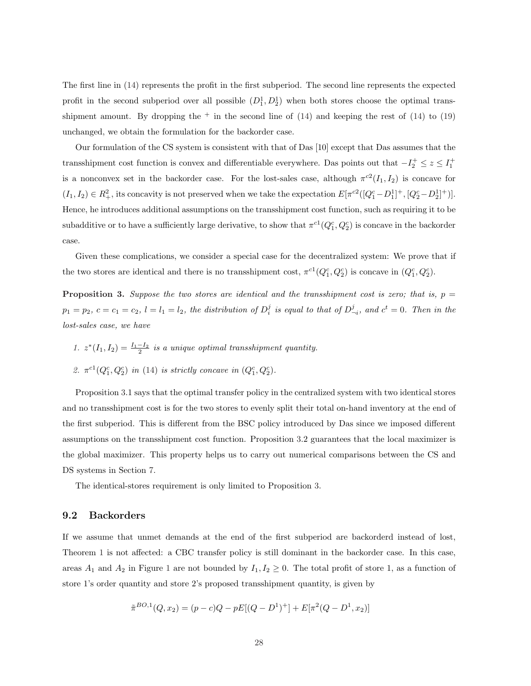The first line in (14) represents the profit in the first subperiod. The second line represents the expected profit in the second subperiod over all possible  $(D_1^1, D_2^1)$  when both stores choose the optimal transshipment amount. By dropping the  $+$  in the second line of  $(14)$  and keeping the rest of  $(14)$  to  $(19)$ unchanged, we obtain the formulation for the backorder case.

Our formulation of the CS system is consistent with that of Das [10] except that Das assumes that the transshipment cost function is convex and differentiable everywhere. Das points out that  $-I_2^+ \le z \le I_1^+$ is a nonconvex set in the backorder case. For the lost-sales case, although  $\pi^{c2}(I_1, I_2)$  is concave for  $(I_1, I_2) \in R_+^2$ , its concavity is not preserved when we take the expectation  $E[\pi^{c2}([Q_1^c - D_1^1]^+, [Q_2^c - D_2^1]^+]$ . Hence, he introduces additional assumptions on the transshipment cost function, such as requiring it to be subadditive or to have a sufficiently large derivative, to show that  $\pi^{c1}(Q_1^c, Q_2^c)$  is concave in the backorder case.

Given these complications, we consider a special case for the decentralized system: We prove that if the two stores are identical and there is no transshipment cost,  $\pi^{c1}(Q_1^c, Q_2^c)$  is concave in  $(Q_1^c, Q_2^c)$ .

**Proposition 3.** Suppose the two stores are identical and the transshipment cost is zero; that is,  $p =$  $p_1 = p_2, c = c_1 = c_2, l = l_1 = l_2$ , the distribution of  $D_i^j$  is equal to that of  $D_{-i}^j$ , and  $c^t = 0$ . Then in the lost-sales case, we have

1.  $z^*(I_1, I_2) = \frac{I_1 - I_2}{2}$  is a unique optimal transshipment quantity. 2.  $\pi^{c1}(Q_1^c, Q_2^c)$  in (14) is strictly concave in  $(Q_1^c, Q_2^c)$ .

Proposition 3.1 says that the optimal transfer policy in the centralized system with two identical stores and no transshipment cost is for the two stores to evenly split their total on-hand inventory at the end of the first subperiod. This is different from the BSC policy introduced by Das since we imposed different assumptions on the transshipment cost function. Proposition 3.2 guarantees that the local maximizer is the global maximizer. This property helps us to carry out numerical comparisons between the CS and DS systems in Section 7.

The identical-stores requirement is only limited to Proposition 3.

## 9.2 Backorders

If we assume that unmet demands at the end of the first subperiod are backorderd instead of lost, Theorem 1 is not affected: a CBC transfer policy is still dominant in the backorder case. In this case, areas  $A_1$  and  $A_2$  in Figure 1 are not bounded by  $I_1, I_2 \geq 0$ . The total profit of store 1, as a function of store 1's order quantity and store 2's proposed transshipment quantity, is given by

$$
\tilde{\pi}^{BO,1}(Q, x_2) = (p - c)Q - pE[(Q - D^1)^+] + E[\pi^2(Q - D^1, x_2)]
$$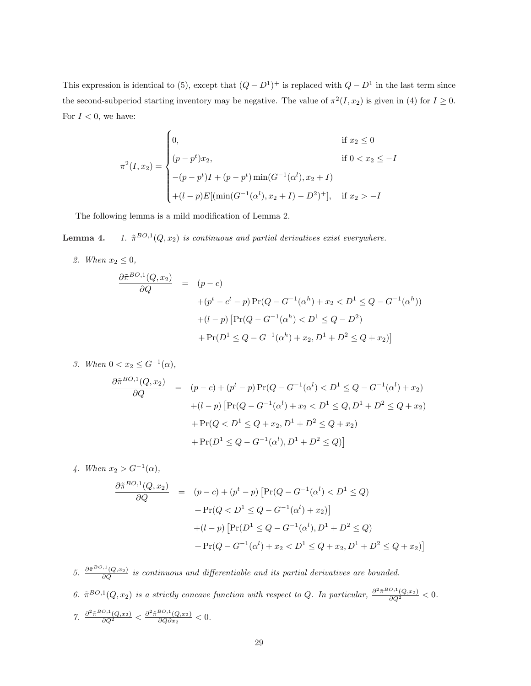This expression is identical to (5), except that  $(Q - D^1)^+$  is replaced with  $Q - D^1$  in the last term since the second-subperiod starting inventory may be negative. The value of  $\pi^2(I, x_2)$  is given in (4) for  $I \geq 0$ . For  $I < 0$ , we have:

$$
\pi^{2}(I, x_{2}) = \begin{cases}\n0, & \text{if } x_{2} \leq 0 \\
(p - p^{t})x_{2}, & \text{if } 0 < x_{2} \leq -I \\
-(p - p^{t})I + (p - p^{t})\min(G^{-1}(\alpha^{l}), x_{2} + I) \\
+(l - p)E[(\min(G^{-1}(\alpha^{l}), x_{2} + I) - D^{2})^{+}], & \text{if } x_{2} > -I\n\end{cases}
$$

The following lemma is a mild modification of Lemma 2.

Lemma 4.  $B^{O,1}(Q, x_2)$  is continuous and partial derivatives exist everywhere.

2. When  $x_2 \leq 0$ ,

$$
\frac{\partial \tilde{\pi}^{BO,1}(Q, x_2)}{\partial Q} = (p - c)
$$
  
+
$$
(p^t - c^t - p) \Pr(Q - G^{-1}(\alpha^h) + x_2 < D^1 \le Q - G^{-1}(\alpha^h))
$$
  
+
$$
(l - p) \left[ \Pr(Q - G^{-1}(\alpha^h) < D^1 \le Q - D^2) + \Pr(D^1 \le Q - G^{-1}(\alpha^h) + x_2, D^1 + D^2 \le Q + x_2) \right]
$$

3. When  $0 < x_2 \leq G^{-1}(\alpha)$ ,

$$
\frac{\partial \tilde{\pi}^{BO,1}(Q,x_2)}{\partial Q} = (p-c) + (p^t - p) \Pr(Q - G^{-1}(\alpha^l) < D^1 \le Q - G^{-1}(\alpha^l) + x_2) \\
+ (l-p) \left[ \Pr(Q - G^{-1}(\alpha^l) + x_2 < D^1 \le Q, D^1 + D^2 \le Q + x_2) \right. \\
\left. + \Pr(Q < D^1 \le Q + x_2, D^1 + D^2 \le Q + x_2) \\
+ \Pr(D^1 \le Q - G^{-1}(\alpha^l), D^1 + D^2 \le Q) \right]
$$

4. When  $x_2 > G^{-1}(\alpha)$ ,

$$
\frac{\partial \tilde{\pi}^{BO,1}(Q, x_2)}{\partial Q} = (p - c) + (p^t - p) \left[ \Pr(Q - G^{-1}(\alpha^l) < D^1 \le Q) \right. \\
\left. + \Pr(Q < D^1 \le Q - G^{-1}(\alpha^l) + x_2) \right] \\
\left. + (l - p) \left[ \Pr(D^1 \le Q - G^{-1}(\alpha^l), D^1 + D^2 \le Q) \right. \\
\left. + \Pr(Q - G^{-1}(\alpha^l) + x_2 < D^1 \le Q + x_2, D^1 + D^2 \le Q + x_2) \right]
$$

5.  $\frac{\partial \tilde{\pi}^{BO,1}(Q,x_2)}{\partial Q}$  is continuous and differentiable and its partial derivatives are bounded. 6.  $\tilde{\pi}^{BO,1}(Q,x_2)$  is a strictly concave function with respect to Q. In particular,  $\frac{\partial^2 \tilde{\pi}^{BO,1}(Q,x_2)}{\partial Q^2} < 0$ . 7.  $\frac{\partial^2 \tilde{\pi}^{BO,1}(Q,x_2)}{\partial Q^2} < \frac{\partial^2 \tilde{\pi}^{BO,1}(Q,x_2)}{\partial Q \partial x_2}$  $\frac{\partial Q}{\partial Q \partial x_2} < 0.$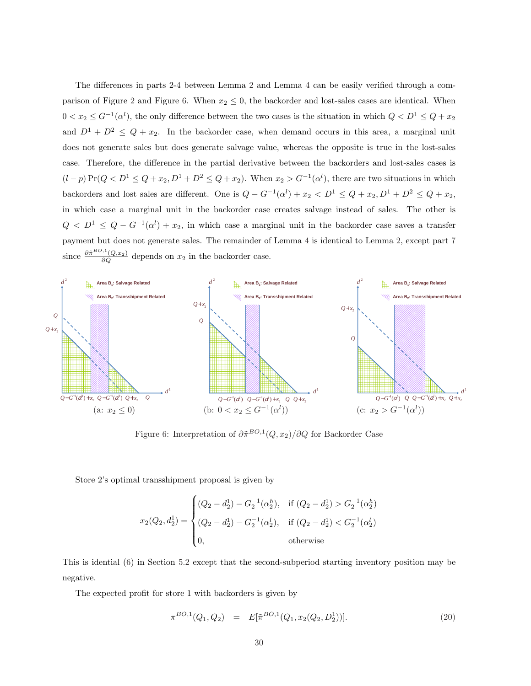The differences in parts 2-4 between Lemma 2 and Lemma 4 can be easily verified through a comparison of Figure 2 and Figure 6. When  $x_2 \leq 0$ , the backorder and lost-sales cases are identical. When  $0 < x_2 \leq G^{-1}(\alpha^l)$ , the only difference between the two cases is the situation in which  $Q < D^1 \leq Q + x_2$ and  $D^1 + D^2 \leq Q + x_2$ . In the backorder case, when demand occurs in this area, a marginal unit does not generate sales but does generate salvage value, whereas the opposite is true in the lost-sales case. Therefore, the difference in the partial derivative between the backorders and lost-sales cases is  $(l-p)\Pr(Q < D^1 \leq Q + x_2, D^1 + D^2 \leq Q + x_2)$ . When  $x_2 > G^{-1}(\alpha^l)$ , there are two situations in which backorders and lost sales are different. One is  $Q - G^{-1}(\alpha^l) + x_2 < D^1 \le Q + x_2, D^1 + D^2 \le Q + x_2$ , in which case a marginal unit in the backorder case creates salvage instead of sales. The other is  $Q < D<sup>1</sup> \leq Q - G<sup>-1</sup>(\alpha<sup>l</sup>) + x<sub>2</sub>$ , in which case a marginal unit in the backorder case saves a transfer payment but does not generate sales. The remainder of Lemma 4 is identical to Lemma 2, except part 7 since  $\frac{\partial \tilde{\pi}^{BO,1}(Q,x_2)}{\partial Q}$  depends on  $x_2$  in the backorder case.



Figure 6: Interpretation of  $\partial \tilde{\pi}^{BO,1}(Q,x_2)/\partial Q$  for Backorder Case

Store 2's optimal transshipment proposal is given by

$$
x_2(Q_2, d_2^1) = \begin{cases} (Q_2 - d_2^1) - G_2^{-1}(\alpha_2^h), & \text{if } (Q_2 - d_2^1) > G_2^{-1}(\alpha_2^h) \\ (Q_2 - d_2^1) - G_2^{-1}(\alpha_2^l), & \text{if } (Q_2 - d_2^1) < G_2^{-1}(\alpha_2^l) \\ 0, & \text{otherwise} \end{cases}
$$

This is idential (6) in Section 5.2 except that the second-subperiod starting inventory position may be negative.

The expected profit for store 1 with backorders is given by

$$
\pi^{BO,1}(Q_1, Q_2) = E[\tilde{\pi}^{BO,1}(Q_1, x_2(Q_2, D_2^1))]. \tag{20}
$$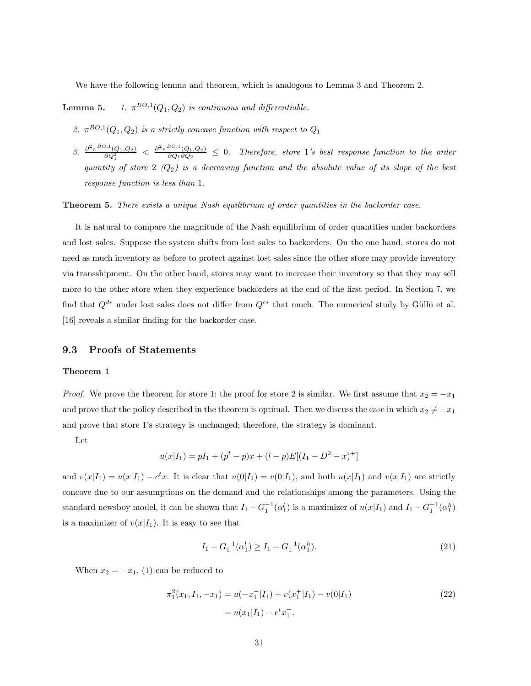We have the following lemma and theorem, which is analogous to Lemma 3 and Theorem 2.

Lemma 5.  $^{BO,1}(Q_1,Q_2)$  is continuous and differentiable.

- 2.  $\pi^{BO,1}(Q_1, Q_2)$  is a strictly concave function with respect to  $Q_1$
- 3.  $\frac{\partial^2 \pi^{BO,1}(Q_1, Q_2)}{\partial Q_1^2} < \frac{\partial^2 \pi^{BO,1}(Q_1, Q_2)}{\partial Q_1 \partial Q_2}$  $\frac{\partial^2 \mathcal{L}(Q_1, Q_2)}{\partial Q_1 \partial Q_2} \leq 0$ . Therefore, store 1's best response function to the order quantity of store 2  $(Q_2)$  is a decreasing function and the absolute value of its slope of the best response function is less than 1.

Theorem 5. There exists a unique Nash equilibrium of order quantities in the backorder case.

It is natural to compare the magnitude of the Nash equilibrium of order quantities under backorders and lost sales. Suppose the system shifts from lost sales to backorders. On the one hand, stores do not need as much inventory as before to protect against lost sales since the other store may provide inventory via transshipment. On the other hand, stores may want to increase their inventory so that they may sell more to the other store when they experience backorders at the end of the first period. In Section 7, we find that  $Q^{d*}$  under lost sales does not differ from  $Q^{c*}$  that much. The numerical study by Güllü et al. [16] reveals a similar finding for the backorder case.

#### 9.3 Proofs of Statements

#### Theorem 1

*Proof.* We prove the theorem for store 1; the proof for store 2 is similar. We first assume that  $x_2 = -x_1$ and prove that the policy described in the theorem is optimal. Then we discuss the case in which  $x_2 \neq -x_1$ and prove that store 1's strategy is unchanged; therefore, the strategy is dominant.

Let

$$
u(x|I_1) = pI_1 + (p^t - p)x + (l - p)E[(I_1 - D^2 - x)^+]
$$

and  $v(x|I_1) = u(x|I_1) - c^t x$ . It is clear that  $u(0|I_1) = v(0|I_1)$ , and both  $u(x|I_1)$  and  $v(x|I_1)$  are strictly concave due to our assumptions on the demand and the relationships among the parameters. Using the standard newsboy model, it can be shown that  $I_1 - G_1^{-1}(\alpha_1^l)$  is a maximizer of  $u(x|I_1)$  and  $I_1 - G_1^{-1}(\alpha_1^h)$ is a maximizer of  $v(x|I_1)$ . It is easy to see that

$$
I_1 - G_1^{-1}(\alpha_1^l) \ge I_1 - G_1^{-1}(\alpha_1^h). \tag{21}
$$

When  $x_2 = -x_1$ , (1) can be reduced to

$$
\pi_1^2(x_1, I_1, -x_1) = u(-x_1^-|I_1) + v(x_1^+|I_1) - v(0|I_1)
$$
  
=  $u(x_1|I_1) - c^t x_1^+$ . (22)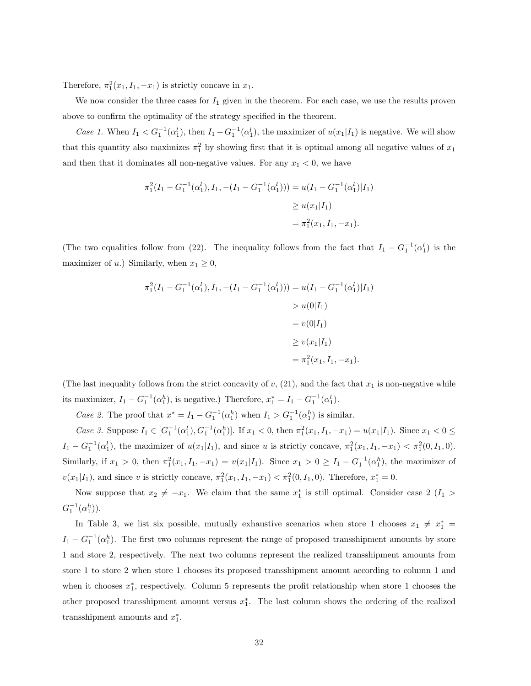Therefore,  $\pi_1^2(x_1, I_1, -x_1)$  is strictly concave in  $x_1$ .

We now consider the three cases for  $I_1$  given in the theorem. For each case, we use the results proven above to confirm the optimality of the strategy specified in the theorem.

Case 1. When  $I_1 < G_1^{-1}(\alpha_1^l)$ , then  $I_1 - G_1^{-1}(\alpha_1^l)$ , the maximizer of  $u(x_1|I_1)$  is negative. We will show that this quantity also maximizes  $\pi_1^2$  by showing first that it is optimal among all negative values of  $x_1$ and then that it dominates all non-negative values. For any  $x_1 < 0$ , we have

$$
\pi_1^2(I_1 - G_1^{-1}(\alpha_1^l), I_1, -(I_1 - G_1^{-1}(\alpha_1^l))) = u(I_1 - G_1^{-1}(\alpha_1^l)|I_1)
$$
  
\n
$$
\geq u(x_1|I_1)
$$
  
\n
$$
= \pi_1^2(x_1, I_1, -x_1).
$$

(The two equalities follow from (22). The inequality follows from the fact that  $I_1 - G_1^{-1}(\alpha_1^l)$  is the maximizer of u.) Similarly, when  $x_1 \geq 0$ ,

$$
\pi_1^2(I_1 - G_1^{-1}(\alpha_1^l), I_1, -(I_1 - G_1^{-1}(\alpha_1^l))) = u(I_1 - G_1^{-1}(\alpha_1^l)|I_1)
$$
  
>  $u(0|I_1)$   
=  $v(0|I_1)$   
 $\geq v(x_1|I_1)$   
=  $\pi_1^2(x_1, I_1, -x_1)$ .

(The last inequality follows from the strict concavity of  $v$ , (21), and the fact that  $x_1$  is non-negative while its maximizer,  $I_1 - G_1^{-1}(\alpha_1^h)$ , is negative.) Therefore,  $x_1^* = I_1 - G_1^{-1}(\alpha_1^l)$ .

Case 2. The proof that  $x^* = I_1 - G_1^{-1}(\alpha_1^h)$  when  $I_1 > G_1^{-1}(\alpha_1^h)$  is similar.

Case 3. Suppose  $I_1 \in [G_1^{-1}(\alpha_1^l), G_1^{-1}(\alpha_1^h)]$ . If  $x_1 < 0$ , then  $\pi_1^2(x_1, I_1, -x_1) = u(x_1|I_1)$ . Since  $x_1 < 0 \le$  $I_1 - G_1^{-1}(\alpha_1^l)$ , the maximizer of  $u(x_1|I_1)$ , and since u is strictly concave,  $\pi_1^2(x_1, I_1, -x_1) < \pi_1^2(0, I_1, 0)$ . Similarly, if  $x_1 > 0$ , then  $\pi_1^2(x_1, I_1, -x_1) = v(x_1 | I_1)$ . Since  $x_1 > 0 \ge I_1 - G_1^{-1}(\alpha_1^h)$ , the maximizer of  $v(x_1|I_1)$ , and since v is strictly concave,  $\pi_1^2(x_1, I_1, -x_1) < \pi_1^2(0, I_1, 0)$ . Therefore,  $x_1^* = 0$ .

Now suppose that  $x_2 \neq -x_1$ . We claim that the same  $x_1^*$  is still optimal. Consider case 2  $(I_1 >$  $G_1^{-1}(\alpha_1^h)$ .

In Table 3, we list six possible, mutually exhaustive scenarios when store 1 chooses  $x_1 \neq x_1^* =$  $I_1 - G_1^{-1}(\alpha_1^h)$ . The first two columns represent the range of proposed transshipment amounts by store 1 and store 2, respectively. The next two columns represent the realized transshipment amounts from store 1 to store 2 when store 1 chooses its proposed transshipment amount according to column 1 and when it chooses  $x_1^*$ , respectively. Column 5 represents the profit relationship when store 1 chooses the other proposed transshipment amount versus  $x_1^*$ . The last column shows the ordering of the realized transshipment amounts and  $x_1^*$ .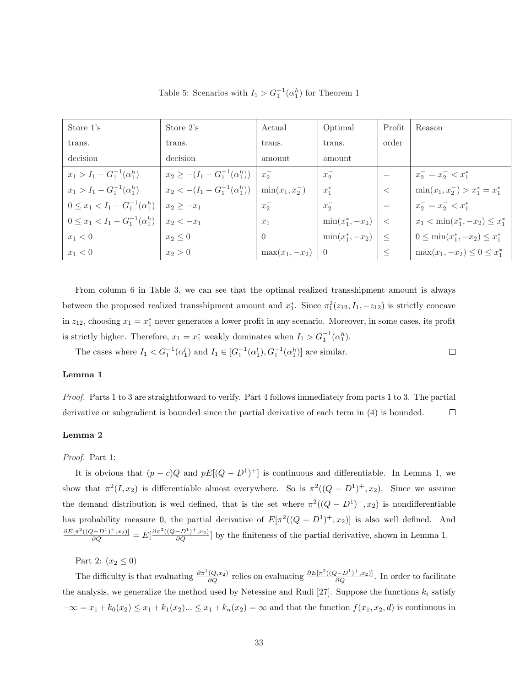| Store 1's                                 | Store 2's                                | Actual             | Optimal             | Profit     | Reason                                |
|-------------------------------------------|------------------------------------------|--------------------|---------------------|------------|---------------------------------------|
| trans.                                    | trans.                                   | trans.             | trans.              | order      |                                       |
| decision                                  | decision                                 | amount             | amount              |            |                                       |
| $x_1 > I_1 - G_1^{-1}(\alpha_1^h)$        | $x_2 \geq -(I_1 - G_1^{-1}(\alpha_1^h))$ | $x_{2}^{-}$        | $x_{2}$             | $=$        | $x_2^- = x_2^- < x_1^*$               |
| $x_1 > I_1 - G_1^{-1}(\alpha_1^h)$        | $x_2 < -(I_1 - G_1^{-1}(\alpha_1^h))$    | $\min(x_1, x_2^-)$ | $x_1^*$             | $\,<$      | $\min(x_1, x_2^-) > x_1^* = x_1^*$    |
| $0 \leq x_1 < I_1 - G_1^{-1}(\alpha_1^h)$ | $x_2 > -x_1$                             | $x_2^-$            | $x_{2}^{-}$         | $\equiv$   | $x_2^- = x_2^- < x_1^*$               |
| $0 \leq x_1 < I_1 - G_1^{-1}(\alpha_1^h)$ | $x_2 < -x_1$                             | $x_1$              | $\min(x_1^*, -x_2)$ | $\epsilon$ | $x_1 < \min(x_1^*, -x_2) \leq x_1^*$  |
| $x_1 < 0$                                 | $x_2 \leq 0$                             | $\theta$           | $\min(x_1^*, -x_2)$ | $\vert <$  | $0 \leq \min(x_1^*, -x_2) \leq x_1^*$ |
| $x_1 < 0$                                 | $x_2 > 0$                                | $\max(x_1, -x_2)$  | $\Box$ 0            |            | $\max(x_1, -x_2) \leq 0 \leq x_1^*$   |

 $\Box$ 

Table 5: Scenarios with  $I_1 > G_1^{-1}(\alpha_1^h)$  for Theorem 1

From column 6 in Table 3, we can see that the optimal realized transshipment amount is always between the proposed realized transshipment amount and  $x_1^*$ . Since  $\pi_1^2(z_{12}, I_1, -z_{12})$  is strictly concave in  $z_{12}$ , choosing  $x_1 = x_1^*$  never generates a lower profit in any scenario. Moreover, in some cases, its profit is strictly higher. Therefore,  $x_1 = x_1^*$  weakly dominates when  $I_1 > G_1^{-1}(\alpha_1^h)$ .

The cases where  $I_1 < G_1^{-1}(\alpha_1^l)$  and  $I_1 \in [G_1^{-1}(\alpha_1^l), G_1^{-1}(\alpha_1^h)]$  are similar.

#### Lemma 1

Proof. Parts 1 to 3 are straightforward to verify. Part 4 follows immediately from parts 1 to 3. The partial derivative or subgradient is bounded since the partial derivative of each term in (4) is bounded.  $\Box$ 

#### Lemma 2

#### Proof. Part 1:

It is obvious that  $(p - c)Q$  and  $pE[(Q - D^1)^+]$  is continuous and differentiable. In Lemma 1, we show that  $\pi^2(I, x_2)$  is differentiable almost everywhere. So is  $\pi^2((Q - D^1)^+, x_2)$ . Since we assume the demand distribution is well defined, that is the set where  $\pi^2((Q - D^1)^+, x_2)$  is nondifferentiable has probability measure 0, the partial derivative of  $E[\pi^2((Q - D^1)^+, x_2)]$  is also well defined. And  $\frac{\partial E[\pi^2((Q-D^1)^+,x_2)]}{\partial Q} = E\left[\frac{\partial \pi^2((Q-D^1)^+,x_2)}{\partial Q}\right]$  by the finiteness of the partial derivative, shown in Lemma 1.

Part 2:  $(x_2 \le 0)$ 

The difficulty is that evaluating  $\frac{\partial \tilde{\pi}^1(Q,x_2)}{\partial Q}$  relies on evaluating  $\frac{\partial E[\pi^2((Q-D^1)^+,x_2)]}{\partial Q}$ . In order to facilitate the analysis, we generalize the method used by Netessine and Rudi [27]. Suppose the functions  $k_i$  satisfy  $-\infty = x_1 + k_0(x_2) \le x_1 + k_1(x_2) ... \le x_1 + k_n(x_2) = \infty$  and that the function  $f(x_1, x_2, d)$  is continuous in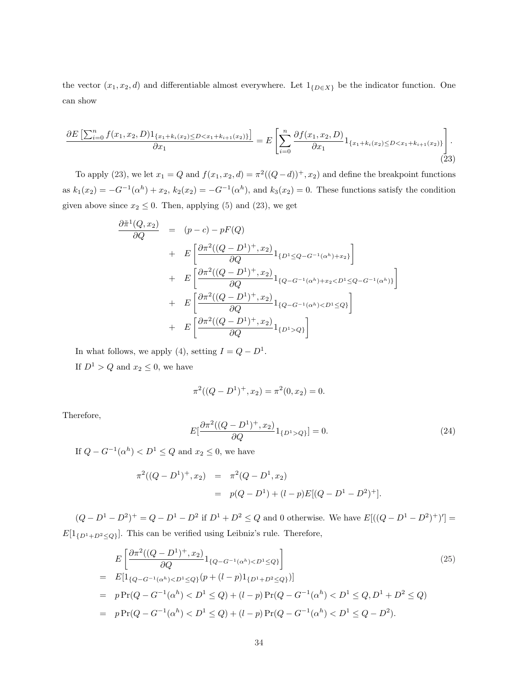the vector  $(x_1, x_2, d)$  and differentiable almost everywhere. Let  $1_{\{D \in X\}}$  be the indicator function. One can show

$$
\frac{\partial E\left[\sum_{i=0}^{n} f(x_1, x_2, D) 1_{\{x_1 + k_i(x_2) \le D < x_1 + k_{i+1}(x_2)\}}\right]}{\partial x_1} = E\left[\sum_{i=0}^{n} \frac{\partial f(x_1, x_2, D)}{\partial x_1} 1_{\{x_1 + k_i(x_2) \le D < x_1 + k_{i+1}(x_2)\}}\right].
$$
\n(23)

To apply (23), we let  $x_1 = Q$  and  $f(x_1, x_2, d) = \pi^2((Q-d))^+$ ,  $x_2$ ) and define the breakpoint functions as  $k_1(x_2) = -G^{-1}(\alpha^h) + x_2$ ,  $k_2(x_2) = -G^{-1}(\alpha^h)$ , and  $k_3(x_2) = 0$ . These functions satisfy the condition given above since  $x_2 \leq 0$ . Then, applying (5) and (23), we get

$$
\frac{\partial \tilde{\pi}^{1}(Q, x_{2})}{\partial Q} = (p - c) - pF(Q)
$$
\n
$$
+ E\left[\frac{\partial \pi^{2}((Q - D^{1})^{+}, x_{2})}{\partial Q} 1_{\{D^{1} \leq Q - G^{-1}(\alpha^{h}) + x_{2}\}}\right]
$$
\n
$$
+ E\left[\frac{\partial \pi^{2}((Q - D^{1})^{+}, x_{2})}{\partial Q} 1_{\{Q - G^{-1}(\alpha^{h}) + x_{2} < D^{1} \leq Q - G^{-1}(\alpha^{h})\}}\right]
$$
\n
$$
+ E\left[\frac{\partial \pi^{2}((Q - D^{1})^{+}, x_{2})}{\partial Q} 1_{\{Q - G^{-1}(\alpha^{h}) < D^{1} \leq Q\}}\right]
$$
\n
$$
+ E\left[\frac{\partial \pi^{2}((Q - D^{1})^{+}, x_{2})}{\partial Q} 1_{\{D^{1} > Q\}}\right]
$$

In what follows, we apply (4), setting  $I = Q - D^1$ . If  $D^1 > Q$  and  $x_2 \leq 0$ , we have

$$
\pi^{2}((Q - D^{1})^{+}, x_{2}) = \pi^{2}(0, x_{2}) = 0.
$$

Therefore,

$$
E\left[\frac{\partial \pi^2((Q-D^1)^+, x_2)}{\partial Q} 1_{\{D^1 > Q\}}\right] = 0.
$$
\n(24)

If  $Q - G^{-1}(\alpha^h) < D^1 \leq Q$  and  $x_2 \leq 0$ , we have

$$
\pi^2((Q - D^1)^+, x_2) = \pi^2(Q - D^1, x_2)
$$
  
=  $p(Q - D^1) + (l - p)E[(Q - D^1 - D^2)^+].$ 

 $(Q - D^1 - D^2)^+ = Q - D^1 - D^2$  if  $D^1 + D^2 \leq Q$  and 0 otherwise. We have  $E[((Q - D^1 - D^2)^+)] =$  $E[1_{\{D^1+D^2\leq Q\}}].$  This can be verified using Leibniz's rule. Therefore,

$$
E\left[\frac{\partial\pi^{2}((Q-D^{1})^{+},x_{2})}{\partial Q}1_{\{Q-G^{-1}(\alpha^{h})\n
$$
= E[1_{\{Q-G^{-1}(\alpha^{h})\n
$$
= p\Pr(Q-G^{-1}(\alpha^{h})\n
$$
= p\Pr(Q-G^{-1}(\alpha^{h})\n(25)
$$
$$
$$
$$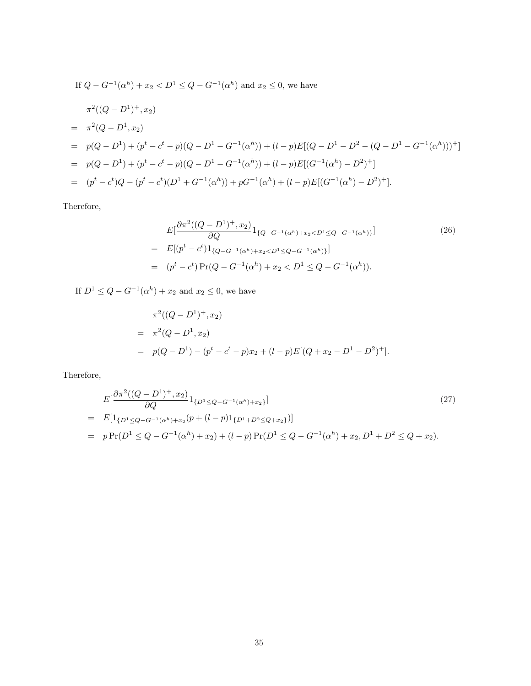If 
$$
Q - G^{-1}(\alpha^h) + x_2 < D^1 \le Q - G^{-1}(\alpha^h)
$$
 and  $x_2 \le 0$ , we have  
\n
$$
\pi^2((Q - D^1)^+, x_2)
$$
\n
$$
= \pi^2(Q - D^1, x_2)
$$
\n
$$
= p(Q - D^1) + (p^t - c^t - p)(Q - D^1 - G^{-1}(\alpha^h)) + (l - p)E[(Q - D^1 - D^2 - (Q - D^1 - G^{-1}(\alpha^h)))^+]
$$
\n
$$
= p(Q - D^1) + (p^t - c^t - p)(Q - D^1 - G^{-1}(\alpha^h)) + (l - p)E[(G^{-1}(\alpha^h) - D^2)^+]
$$
\n
$$
= (p^t - c^t)Q - (p^t - c^t)(D^1 + G^{-1}(\alpha^h)) + pG^{-1}(\alpha^h) + (l - p)E[(G^{-1}(\alpha^h) - D^2)^+].
$$

Therefore,

$$
E\left[\frac{\partial\pi^{2}((Q-D^{1})^{+},x_{2})}{\partial Q}1_{\{Q-G^{-1}(\alpha^{h})+x_{2}\n
$$
= E\left[(p^{t}-c^{t})1_{\{Q-G^{-1}(\alpha^{h})+x_{2}\n
$$
= (p^{t}-c^{t})\Pr(Q-G^{-1}(\alpha^{h})+x_{2}< D^{1}\leq Q-G^{-1}(\alpha^{h})).
$$
\n(26)
$$
$$

If  $D^1 \leq Q - G^{-1}(\alpha^h) + x_2$  and  $x_2 \leq 0$ , we have

$$
\pi^2((Q - D^1)^+, x_2)
$$
  
= 
$$
\pi^2(Q - D^1, x_2)
$$
  
= 
$$
p(Q - D^1) - (p^t - c^t - p)x_2 + (l - p)E[(Q + x_2 - D^1 - D^2)^+].
$$

$$
E\left[\frac{\partial \pi^2((Q-D^1)^+, x_2)}{\partial Q} 1_{\{D^1 \le Q - G^{-1}(\alpha^h) + x_2\}}\right]
$$
\n
$$
= E\left[1_{\{D^1 \le Q - G^{-1}(\alpha^h) + x_2}(p + (l-p)1_{\{D^1 + D^2 \le Q + x_2\}})\right]
$$
\n
$$
= p \Pr(D^1 \le Q - G^{-1}(\alpha^h) + x_2) + (l-p) \Pr(D^1 \le Q - G^{-1}(\alpha^h) + x_2, D^1 + D^2 \le Q + x_2).
$$
\n(27)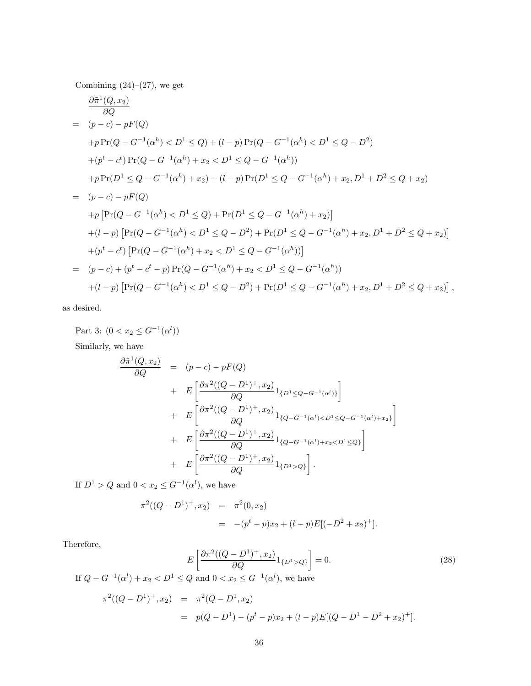Combining  $(24)-(27)$ , we get

$$
\frac{\partial \tilde{\pi}^1(Q, x_2)}{\partial Q} \n= (p - c) - pF(Q) \n+ p\Pr(Q - G^{-1}(\alpha^h) < D^1 \le Q) + (l - p)\Pr(Q - G^{-1}(\alpha^h) < D^1 \le Q - D^2) \n+ (p^t - c^t)\Pr(Q - G^{-1}(\alpha^h) + x_2 < D^1 \le Q - G^{-1}(\alpha^h)) \n+ p\Pr(D^1 \le Q - G^{-1}(\alpha^h) + x_2) + (l - p)\Pr(D^1 \le Q - G^{-1}(\alpha^h) + x_2, D^1 + D^2 \le Q + x_2) \n= (p - c) - pF(Q) \n+ p\left[\Pr(Q - G^{-1}(\alpha^h) < D^1 \le Q) + \Pr(D^1 \le Q - G^{-1}(\alpha^h) + x_2)\right] \n+ (l - p)\left[\Pr(Q - G^{-1}(\alpha^h) < D^1 \le Q - D^2) + \Pr(D^1 \le Q - G^{-1}(\alpha^h) + x_2, D^1 + D^2 \le Q + x_2)\right] \n+ (p^t - c^t)\left[\Pr(Q - G^{-1}(\alpha^h) + x_2 < D^1 \le Q - G^{-1}(\alpha^h))\right] \n= (p - c) + (p^t - c^t - p)\Pr(Q - G^{-1}(\alpha^h) + x_2 < D^1 \le Q - G^{-1}(\alpha^h)) \n+ (l - p)\left[\Pr(Q - G^{-1}(\alpha^h) < D^1 \le Q - D^2) + \Pr(D^1 \le Q - G^{-1}(\alpha^h) + x_2, D^1 + D^2 \le Q + x_2)\right],
$$

as desired.

Part 3:  $(0 < x_2 \leq G^{-1}(\alpha^l))$ Similarly, we have  $\frac{\partial \tilde{\pi}^1(Q, x_2)}{\partial Q} = (p - c) - pF(Q)$  $+ E$  $\bigg[ { \partial \pi^2 ((Q-D^1)^+,x_2) \over \partial Q} 1_{\{ D^1 \leq Q - G^{-1}(\alpha^l) \} }$  $\overline{a}$  $+ E$  $\left[\frac{\partial \pi^2((Q-D^1)^+,x_2)}{\partial Q}\right]_{\{Q-G^{-1}(\alpha^l) < D^1 \leq Q-G^{-1}(\alpha^l)+x_2\}}$  $\overline{a}$  $+ E$  $\left[\frac{\partial \pi^2((Q-D^1)^+,x_2)}{\partial Q}\right]_{\{Q-G^{-1}(\alpha^l)+x_2 < D^1 \leq Q\}}$  $\overline{a}$  $+ E$  $\left[\frac{\partial \pi^2((Q-D^1)^+,x_2)}{\partial Q}\right]_{\{D^1>Q\}}$  $\overline{a}$ .

If  $D^1 > Q$  and  $0 < x_2 \leq G^{-1}(\alpha^l)$ , we have

$$
\pi^{2}((Q - D^{1})^{+}, x_{2}) = \pi^{2}(0, x_{2})
$$
  
= -(p<sup>t</sup> - p)x<sub>2</sub> + (l - p)E[(-D<sup>2</sup> + x<sub>2</sub>)<sup>+</sup>].

$$
E\left[\frac{\partial \pi^2 ((Q - D^1)^+, x_2)}{\partial Q} 1_{\{D^1 > Q\}}\right] = 0.
$$
\n(28)

If 
$$
Q - G^{-1}(\alpha^l) + x_2 < D^1 \le Q
$$
 and  $0 < x_2 \le G^{-1}(\alpha^l)$ , we have

$$
\pi^2((Q - D^1)^+, x_2) = \pi^2(Q - D^1, x_2)
$$
  
=  $p(Q - D^1) - (p^t - p)x_2 + (l - p)E[(Q - D^1 - D^2 + x_2)^+].$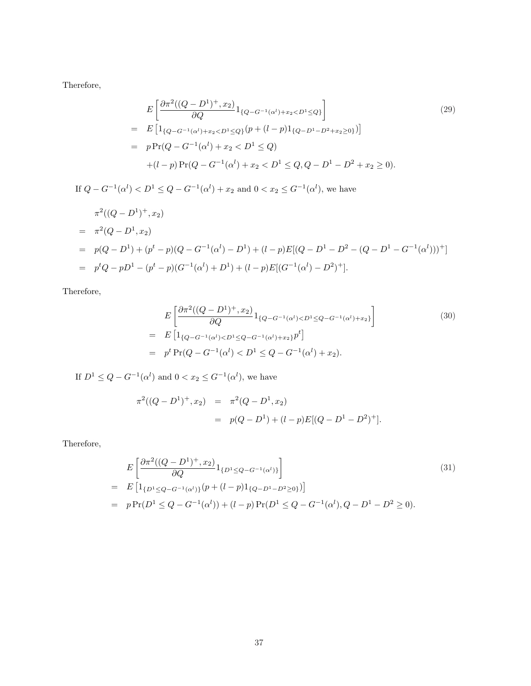Therefore,

$$
E\left[\frac{\partial\pi^{2}((Q-D^{1})^{+},x_{2})}{\partial Q}1_{\{Q-G^{-1}(\alpha^{l})+x_{2}< D^{1}\leq Q\}}\right]
$$
\n
$$
= E\left[1_{\{Q-G^{-1}(\alpha^{l})+x_{2}< D^{1}\leq Q\}}(p+(l-p)1_{\{Q-D^{1}-D^{2}+x_{2}>0\}})\right]
$$
\n
$$
= p\Pr(Q-G^{-1}(\alpha^{l})+x_{2}< D^{1}\leq Q)
$$
\n
$$
+(l-p)\Pr(Q-G^{-1}(\alpha^{l})+x_{2}< D^{1}\leq Q, Q-D^{1}-D^{2}+x_{2}>0).
$$
\n(29)

If  $Q - G^{-1}(\alpha^l) < D^1 \leq Q - G^{-1}(\alpha^l) + x_2$  and  $0 < x_2 \leq G^{-1}(\alpha^l)$ , we have  $\pi^2((Q-D^1)^+,x_2)$  $= \pi^2(Q - D^1, x_2)$  $= p(Q - D<sup>1</sup>) + (p<sup>t</sup> - p)(Q - G<sup>-1</sup>(\alpha<sup>l</sup>) - D<sup>1</sup>) + (l - p)E[(Q - D<sup>1</sup> - D<sup>2</sup> - (Q - D<sup>1</sup> - G<sup>-1</sup>(\alpha<sup>l</sup>)))<sup>+</sup>]$  $= p<sup>t</sup>Q - pD<sup>1</sup> - (p<sup>t</sup> - p)(G<sup>-1</sup>(\alpha<sup>l</sup>) + D<sup>1</sup>) + (l - p)E[(G<sup>-1</sup>(\alpha<sup>l</sup>) - D<sup>2</sup>)<sup>+</sup>].$ 

Therefore,

$$
E\left[\frac{\partial\pi^{2}((Q-D^{1})^{+},x_{2})}{\partial Q}1_{\{Q-G^{-1}(\alpha^{l})\n
$$
= E\left[1_{\{Q-G^{-1}(\alpha^{l})\n
$$
= p^{t}\Pr(Q-G^{-1}(\alpha^{l})< D^{1}\leq Q-G^{-1}(\alpha^{l})+x_{2}).
$$
\n(30)
$$
$$

If  $D^1 \leq Q - G^{-1}(\alpha^l)$  and  $0 < x_2 \leq G^{-1}(\alpha^l)$ , we have

$$
\pi^{2}((Q - D^{1})^{+}, x_{2}) = \pi^{2}(Q - D^{1}, x_{2})
$$
  
=  $p(Q - D^{1}) + (l - p)E[(Q - D^{1} - D^{2})^{+}].$ 

$$
E\left[\frac{\partial \pi^2((Q-D^1)^+, x_2)}{\partial Q} 1_{\{D^1 \leq Q - G^{-1}(\alpha^l)\}}\right]
$$
\n
$$
= E\left[1_{\{D^1 \leq Q - G^{-1}(\alpha^l)\}}(p + (l-p)1_{\{Q - D^1 - D^2 \geq 0\}})\right]
$$
\n
$$
= p \Pr(D^1 \leq Q - G^{-1}(\alpha^l)) + (l-p) \Pr(D^1 \leq Q - G^{-1}(\alpha^l), Q - D^1 - D^2 \geq 0).
$$
\n(31)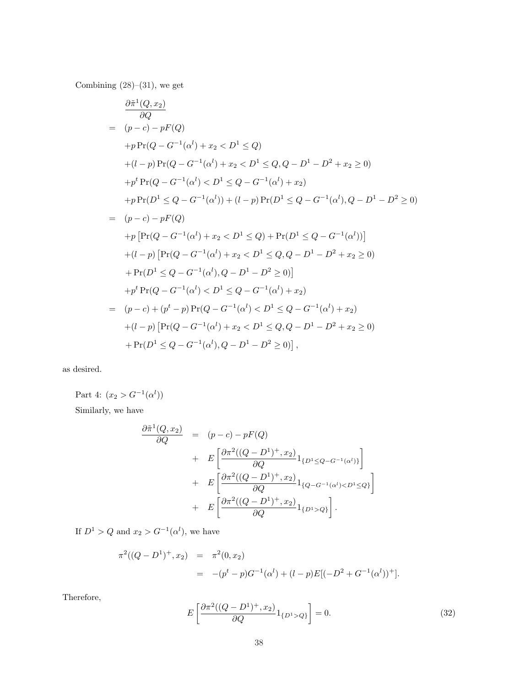Combining  $(28)$ – $(31)$ , we get

$$
\frac{\partial \tilde{\pi}^1(Q, x_2)}{\partial Q} \n= (p - c) - pF(Q) \n+ p \Pr(Q - G^{-1}(\alpha^l) + x_2 < D^1 \le Q) \n+ (l - p) \Pr(Q - G^{-1}(\alpha^l) + x_2 < D^1 \le Q, Q - D^1 - D^2 + x_2 \ge 0) \n+ p^t \Pr(Q - G^{-1}(\alpha^l) < D^1 \le Q - G^{-1}(\alpha^l) + x_2) \n+ p \Pr(D^1 \le Q - G^{-1}(\alpha^l)) + (l - p) \Pr(D^1 \le Q - G^{-1}(\alpha^l), Q - D^1 - D^2 \ge 0) \n= (p - c) - pF(Q) \n+ p \left[ \Pr(Q - G^{-1}(\alpha^l) + x_2 < D^1 \le Q) + \Pr(D^1 \le Q - G^{-1}(\alpha^l)) \right] \n+ (l - p) \left[ \Pr(Q - G^{-1}(\alpha^l) + x_2 < D^1 \le Q, Q - D^1 - D^2 + x_2 \ge 0) \right. \n+ \Pr(D^1 \le Q - G^{-1}(\alpha^l), Q - D^1 - D^2 \ge 0) \right] \n+ p^t \Pr(Q - G^{-1}(\alpha^l) < D^1 \le Q - G^{-1}(\alpha^l) + x_2) \n= (p - c) + (p^t - p) \Pr(Q - G^{-1}(\alpha^l) < D^1 \le Q - G^{-1}(\alpha^l) + x_2) \n+ (l - p) \left[ \Pr(Q - G^{-1}(\alpha^l) + x_2 < D^1 \le Q, Q - D^1 - D^2 + x_2 \ge 0) \right. \n+ \Pr(D^1 \le Q - G^{-1}(\alpha^l), Q - D^1 - D^2 \ge 0) \right],
$$

as desired.

Part 4:  $(x_2 > G^{-1}(\alpha^l))$ 

Similarly, we have

$$
\frac{\partial \tilde{\pi}^{1}(Q, x_{2})}{\partial Q} = (p - c) - pF(Q)
$$
  
+ 
$$
E \left[ \frac{\partial \pi^{2}((Q - D^{1})^{+}, x_{2})}{\partial Q} 1_{\{D^{1} \leq Q - G^{-1}(\alpha^{l})\}} \right]
$$
  
+ 
$$
E \left[ \frac{\partial \pi^{2}((Q - D^{1})^{+}, x_{2})}{\partial Q} 1_{\{Q - G^{-1}(\alpha^{l}) < D^{1} \leq Q\}} \right]
$$
  
+ 
$$
E \left[ \frac{\partial \pi^{2}((Q - D^{1})^{+}, x_{2})}{\partial Q} 1_{\{D^{1} > Q\}} \right].
$$

If  $D^1 > Q$  and  $x_2 > G^{-1}(\alpha^l)$ , we have

$$
\pi^2((Q - D^1)^+, x_2) = \pi^2(0, x_2)
$$
  
= 
$$
-(p^t - p)G^{-1}(\alpha^l) + (l - p)E[(-D^2 + G^{-1}(\alpha^l))^+].
$$

$$
E\left[\frac{\partial \pi^2 ((Q - D^1)^+, x_2)}{\partial Q} 1_{\{D^1 > Q\}}\right] = 0.
$$
\n(32)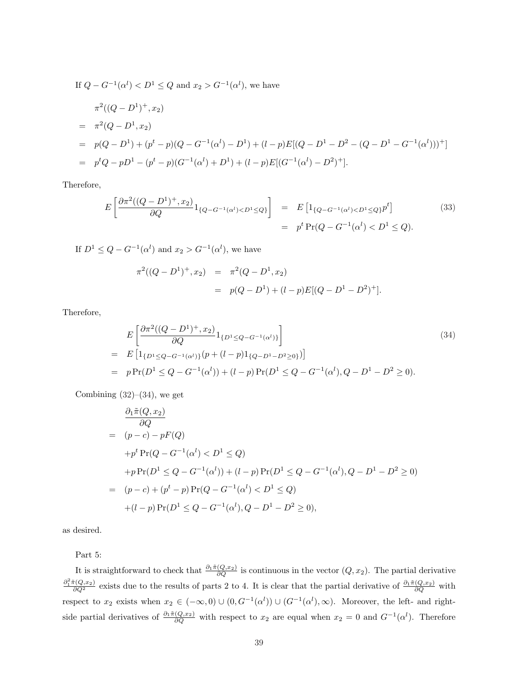If 
$$
Q - G^{-1}(\alpha^l) < D^1 \le Q
$$
 and  $x_2 > G^{-1}(\alpha^l)$ , we have  
\n
$$
\pi^2((Q - D^1)^+, x_2)
$$
\n
$$
= \pi^2(Q - D^1, x_2)
$$
\n
$$
= p(Q - D^1) + (p^t - p)(Q - G^{-1}(\alpha^l) - D^1) + (l - p)E[(Q - D^1 - D^2 - (Q - D^1 - G^{-1}(\alpha^l)))^+]
$$
\n
$$
= p^tQ - pD^1 - (p^t - p)(G^{-1}(\alpha^l) + D^1) + (l - p)E[(G^{-1}(\alpha^l) - D^2)^+].
$$

Therefore,

$$
E\left[\frac{\partial \pi^2((Q-D^1)^+,x_2)}{\partial Q}1_{\{Q-G^{-1}(\alpha^l) < D^1 \le Q\}}\right] = E\left[1_{\{Q-G^{-1}(\alpha^l) < D^1 \le Q\}}p^t\right] \tag{33}
$$
\n
$$
= p^t \Pr(Q-G^{-1}(\alpha^l) < D^1 \le Q).
$$

If  $D^1 \leq Q - G^{-1}(\alpha^l)$  and  $x_2 > G^{-1}(\alpha^l)$ , we have

$$
\pi^2((Q - D^1)^+, x_2) = \pi^2(Q - D^1, x_2)
$$
  
=  $p(Q - D^1) + (l - p)E[(Q - D^1 - D^2)^+].$ 

Therefore,

$$
E\left[\frac{\partial\pi^{2}((Q-D^{1})^{+},x_{2})}{\partial Q}1_{\{D^{1}\leq Q-G^{-1}(\alpha^{l})\}}\right]
$$
\n
$$
= E\left[1_{\{D^{1}\leq Q-G^{-1}(\alpha^{l})\}}(p+(l-p)1_{\{Q-D^{1}-D^{2}\geq 0\}})\right]
$$
\n
$$
= p\Pr(D^{1}\leq Q-G^{-1}(\alpha^{l})) + (l-p)\Pr(D^{1}\leq Q-G^{-1}(\alpha^{l}), Q-D^{1}-D^{2}\geq 0).
$$
\n(34)

Combining  $(32)$ – $(34)$ , we get

$$
\frac{\partial_1 \tilde{\pi}(Q, x_2)}{\partial Q}
$$
\n= (p - c) - pF(Q)  
\n+ p<sup>t</sup> Pr(Q - G<sup>-1</sup>(\alpha<sup>l</sup>) < D<sup>1</sup> \le Q)  
\n+ p Pr(D<sup>1</sup> \le Q - G<sup>-1</sup>(\alpha<sup>l</sup>)) + (l - p) Pr(D<sup>1</sup> \le Q - G<sup>-1</sup>(\alpha<sup>l</sup>), Q - D<sup>1</sup> - D<sup>2</sup> \ge 0)  
\n= (p - c) + (p<sup>t</sup> - p) Pr(Q - G<sup>-1</sup>(\alpha<sup>l</sup>) < D<sup>1</sup> \le Q)  
\n+ (l - p) Pr(D<sup>1</sup> \le Q - G<sup>-1</sup>(\alpha<sup>l</sup>), Q - D<sup>1</sup> - D<sup>2</sup> \ge 0),

as desired.

Part 5:

It is straightforward to check that  $\frac{\partial_1 \tilde{\pi}(Q,x_2)}{\partial Q}$  is continuous in the vector  $(Q, x_2)$ . The partial derivative  $\frac{\partial_1^2 \tilde{\pi}(Q,x_2)}{\partial Q^2}$  exists due to the results of parts 2 to 4. It is clear that the partial derivative of  $\frac{\partial_1 \tilde{\pi}(Q,x_2)}{\partial Q}$  with respect to  $x_2$  exists when  $x_2 \in (-\infty,0) \cup (0,G^{-1}(\alpha^l)) \cup (G^{-1}(\alpha^l),\infty)$ . Moreover, the left- and rightside partial derivatives of  $\frac{\partial_1 \tilde{\pi}(Q,x_2)}{\partial Q}$  with respect to  $x_2$  are equal when  $x_2 = 0$  and  $G^{-1}(\alpha^l)$ . Therefore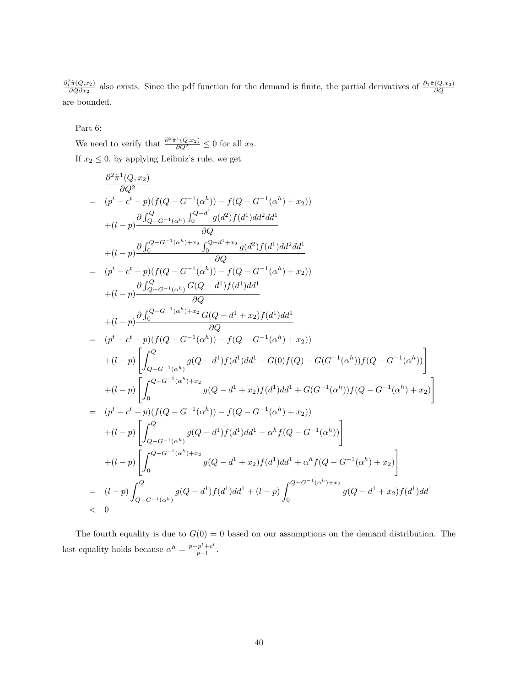$\frac{\partial_1^2 \tilde{\pi}(Q,x_2)}{\partial Q \partial x_2}$  also exists. Since the pdf function for the demand is finite, the partial derivatives of  $\frac{\partial_1 \tilde{\pi}(Q,x_2)}{\partial Q}$ are bounded.

Part 6:

We need to verify that  $\frac{\partial^2 \tilde{\pi}^1(Q,x_2)}{\partial Q^2} \leq 0$  for all  $x_2$ . If  $x_2\leq 0,$  by applying Leibniz's rule, we get

$$
\frac{\partial^2 \tilde{\pi}^1(Q, x_2)}{\partial Q^2} = (p^t - c^t - p)(f(Q - G^{-1}(\alpha^h)) - f(Q - G^{-1}(\alpha^h) + x_2))
$$
\n
$$
+ (l - p)\frac{\partial \int_{Q - G^{-1}(\alpha^h)}^Q \int_0^{Q - d^1} g(d^2)f(d^1) d d^2 d d^1}{\partial Q}
$$
\n
$$
+ (l - p)\frac{\partial \int_0^{Q - G^{-1}(\alpha^h) + x_2} \int_0^{Q - d^1 + x_2} g(d^2)f(d^1) d d^2 d d^1}{\partial Q}
$$
\n
$$
= (p^t - c^t - p)(f(Q - G^{-1}(\alpha^h)) - f(Q - G^{-1}(\alpha^h) + x_2))
$$
\n
$$
+ (l - p)\frac{\partial \int_{Q - G^{-1}(\alpha^h)}^Q G(Q - d^1)f(d^1) d d^1}{\partial Q}
$$
\n
$$
+ (l - p)\frac{\partial \int_0^{Q - G^{-1}(\alpha^h) + x_2} G(Q - d^1 + x_2)f(d^1) d d^1}{\partial Q}
$$
\n
$$
= (p^t - c^t - p)(f(Q - G^{-1}(\alpha^h)) - f(Q - G^{-1}(\alpha^h) + x_2))
$$
\n
$$
+ (l - p)\left[\int_{Q - G^{-1}(\alpha^h)}^Q g(Q - d^1)f(d^1) d d^1 + G(0)f(Q) - G(G^{-1}(\alpha^h))f(Q - G^{-1}(\alpha^h))\right]
$$
\n
$$
+ (l - p)\left[\int_0^{Q - G^{-1}(\alpha^h) + x_2} g(Q - d^1 + x_2)f(d^1) d d^1 + G(G^{-1}(\alpha^h))f(Q - G^{-1}(\alpha^h) + x_2)\right]
$$
\n
$$
= (p^t - c^t - p)(f(Q - G^{-1}(\alpha^h)) - f(Q - G^{-1}(\alpha^h) + x_2))
$$
\n
$$
+ (l - p)\left[\int_{Q - G^{-1}(\alpha^h)}^Q g(Q - d^1 + x_2)f(d^1) d d^1 - \alpha^h f(Q - G^{-1}(\alpha^h) + x_2)\right]
$$
\n
$$
+ (l - p)\left[\int_0^{Q - G^{-1}(\alpha^h) + x
$$

The fourth equality is due to  $G(0) = 0$  based on our assumptions on the demand distribution. The last equality holds because  $\alpha^h = \frac{p - p^t + c^t}{n}$  $\frac{p^{\circ}+c^{\circ}}{p-l}$ .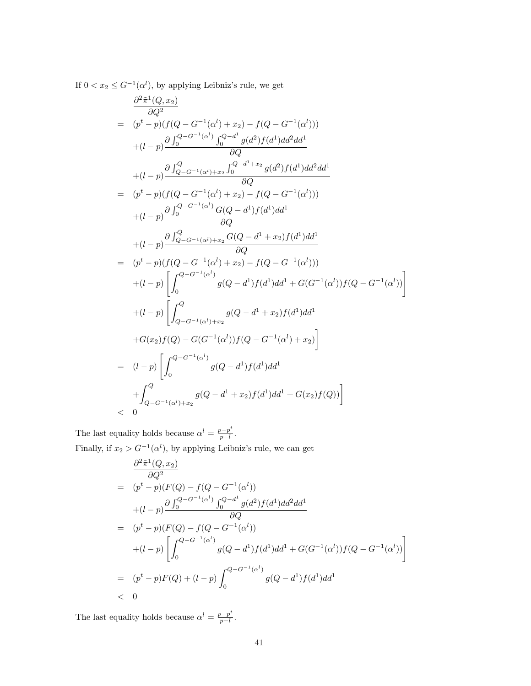If  $0 < x_2 \leq G^{-1}(\alpha^l)$ , by applying Leibniz's rule, we get

$$
\frac{\partial^2 \tilde{\pi}^1(Q, x_2)}{\partial Q^2} = (p^t - p)(f(Q - G^{-1}(\alpha^l) + x_2) - f(Q - G^{-1}(\alpha^l)))
$$
\n
$$
+ (l - p) \frac{\partial \int_0^{Q - G^{-1}(\alpha^l)} \int_0^{Q - d^l} g(d^2) f(d^1) d d^2 d d^1}{\partial Q}
$$
\n
$$
+ (l - p) \frac{\partial \int_{Q - G^{-1}(\alpha^l) + x_2}^{Q - d^l + x_2} g(d^2) f(d^1) d d^2 d d^1}{\partial Q}
$$
\n
$$
= (p^t - p)(f(Q - G^{-1}(\alpha^l) + x_2) - f(Q - G^{-1}(\alpha^l)))
$$
\n
$$
+ (l - p) \frac{\partial \int_0^{Q - G^{-1}(\alpha^l)} G(Q - d^1) f(d^1) d d^1}{\partial Q}
$$
\n
$$
+ (l - p) \frac{\partial \int_{Q - G^{-1}(\alpha^l) + x_2}^{Q - G^{-1}(\alpha^l) + x_2} f(d^1) d d^1}{\partial Q}
$$
\n
$$
= (p^t - p)(f(Q - G^{-1}(\alpha^l) + x_2) - f(Q - G^{-1}(\alpha^l)))
$$
\n
$$
+ (l - p) \left[ \int_0^{Q - G^{-1}(\alpha^l)} g(Q - d^1) f(d^1) d d^1 + G(G^{-1}(\alpha^l)) f(Q - G^{-1}(\alpha^l)) \right]
$$
\n
$$
+ (l - p) \left[ \int_{Q - G^{-1}(\alpha^l) + x_2}^{Q} g(Q - d^1 + x_2) f(d^1) d d^1 + G(x_2) f(Q) - G(G^{-1}(\alpha^l)) f(Q - G^{-1}(\alpha^l) + x_2) \right]
$$
\n
$$
= (l - p) \left[ \int_0^{Q - G^{-1}(\alpha^l)} g(Q - d^1) f(d^1) d d^1 + G(x_2) f(Q)) \right]
$$
\n
$$
< 0
$$

The last equality holds because  $\alpha^l = \frac{p-p^t}{p-1}$  $\frac{p-p^{\circ}}{p-l}$ . Finally, if  $x_2 > G^{-1}(\alpha^l)$ , by applying Leibniz's rule, we can get

$$
\frac{\partial^2 \tilde{\pi}^1(Q, x_2)}{\partial Q^2} \n= (p^t - p)(F(Q) - f(Q - G^{-1}(\alpha^l)) \n+ (l - p) \frac{\partial \int_0^{Q - G^{-1}(\alpha^l)} \int_0^{Q - d^1} g(d^2) f(d^1) dd^2 dd^1}{\partial Q} \n= (p^t - p)(F(Q) - f(Q - G^{-1}(\alpha^l)) \n+ (l - p) \left[ \int_0^{Q - G^{-1}(\alpha^l)} g(Q - d^1) f(d^1) dd^1 + G(G^{-1}(\alpha^l)) f(Q - G^{-1}(\alpha^l)) \right] \n= (p^t - p)F(Q) + (l - p) \int_0^{Q - G^{-1}(\alpha^l)} g(Q - d^1) f(d^1) dd^1 \n< 0
$$

The last equality holds because  $\alpha^l = \frac{p-p^t}{n-l}$  $\frac{p-p^{\circ}}{p-l}$ .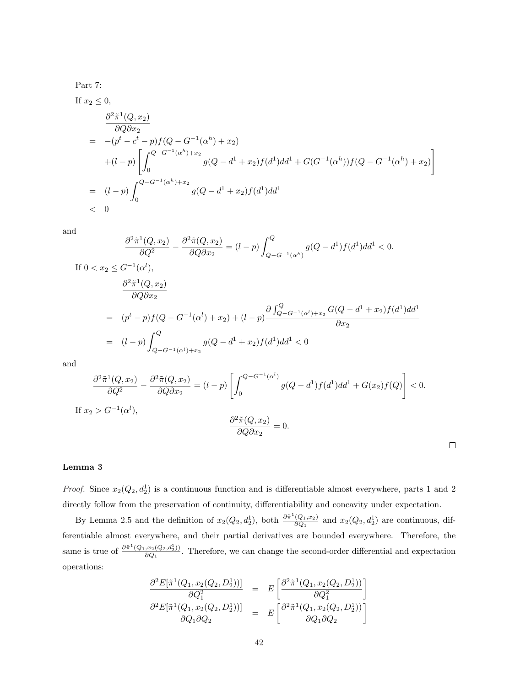Part 7:

If 
$$
x_2 \le 0
$$
,  
\n
$$
\frac{\partial^2 \tilde{\pi}^1(Q, x_2)}{\partial Q \partial x_2}
$$
\n
$$
= -(p^t - c^t - p) f(Q - G^{-1}(\alpha^h) + x_2)
$$
\n
$$
+ (l - p) \left[ \int_0^{Q - G^{-1}(\alpha^h) + x_2} g(Q - d^1 + x_2) f(d^1) d d^1 + G(G^{-1}(\alpha^h)) f(Q - G^{-1}(\alpha^h) + x_2) \right]
$$
\n
$$
= (l - p) \int_0^{Q - G^{-1}(\alpha^h) + x_2} g(Q - d^1 + x_2) f(d^1) d d^1
$$
\n
$$
< 0
$$

and

$$
\frac{\partial^2 \tilde{\pi}^1(Q, x_2)}{\partial Q^2} - \frac{\partial^2 \tilde{\pi}(Q, x_2)}{\partial Q \partial x_2} = (l - p) \int_{Q - G^{-1}(\alpha^h)}^Q g(Q - d^1) f(d^1) d d^1 < 0.
$$
\nIf  $0 < x_2 \leq G^{-1}(\alpha^l),$ \n
$$
\frac{\partial^2 \tilde{\pi}^1(Q, x_2)}{\partial Q \partial x_2}
$$
\n
$$
= (p^t - p) f(Q - G^{-1}(\alpha^l) + x_2) + (l - p) \frac{\partial \int_{Q - G^{-1}(\alpha^l) + x_2}^Q G(Q - d^1 + x_2) f(d^1) d d^1}{\partial x_2}
$$
\n
$$
= (l - p) \int_{Q - G^{-1}(\alpha^l) + x_2}^Q g(Q - d^1 + x_2) f(d^1) d d^1 < 0
$$

and

$$
\frac{\partial^2 \tilde{\pi}^1(Q, x_2)}{\partial Q^2} - \frac{\partial^2 \tilde{\pi}(Q, x_2)}{\partial Q \partial x_2} = (l - p) \left[ \int_0^{Q - G^{-1}(\alpha^l)} g(Q - d^1) f(d^1) d d^1 + G(x_2) f(Q) \right] < 0.
$$
\nIf  $x_2 > G^{-1}(\alpha^l)$ ,\n
$$
\frac{\partial^2 \tilde{\pi}(Q, x_2)}{\partial Q \partial x_2} = 0.
$$

## Lemma 3

*Proof.* Since  $x_2(Q_2, d_2)$  is a continuous function and is differentiable almost everywhere, parts 1 and 2 directly follow from the preservation of continuity, differentiability and concavity under expectation.

 $\Box$ 

By Lemma 2.5 and the definition of  $x_2(Q_2, d_2^1)$ , both  $\frac{\partial \tilde{\pi}^1(Q_1, x_2)}{\partial Q_1}$  $\frac{(Q_1,x_2)}{\partial Q_1}$  and  $x_2(Q_2,d_2)$  are continuous, differentiable almost everywhere, and their partial derivatives are bounded everywhere. Therefore, the same is true of  $\frac{\partial \tilde{\pi}^1(Q_1, x_2(Q_2, d_2^1))}{\partial Q_1}$  $\frac{\partial \mathcal{L}_2(Q_2, a_2)}{\partial Q_1}$ . Therefore, we can change the second-order differential and expectation operations:

$$
\frac{\partial^2 E[\tilde{\pi}^1(Q_1, x_2(Q_2, D_2^1))] }{\partial Q_1^2} = E\left[\frac{\partial^2 \tilde{\pi}^1(Q_1, x_2(Q_2, D_2^1))}{\partial Q_1^2}\right] \n= E\left[\frac{\partial^2 \tilde{\pi}^1(Q_1, x_2(Q_2, D_2^1))}{\partial Q_1 \partial Q_2}\right] = E\left[\frac{\partial^2 \tilde{\pi}^1(Q_1, x_2(Q_2, D_2^1))}{\partial Q_1 \partial Q_2}\right]
$$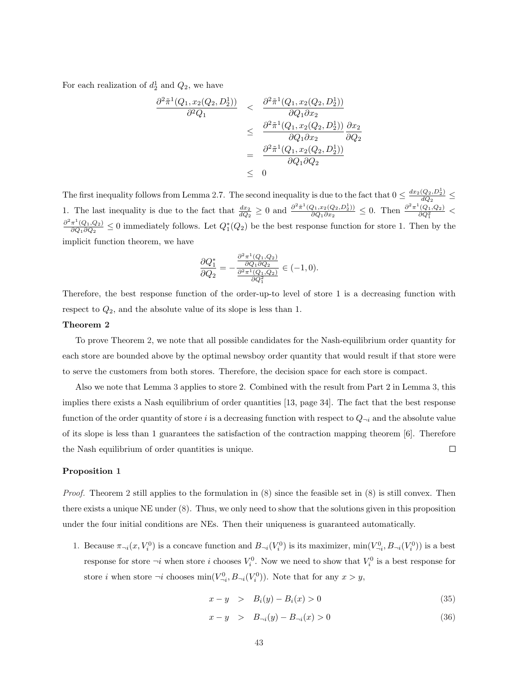For each realization of  $d_2^1$  and  $Q_2$ , we have

$$
\frac{\partial^2 \tilde{\pi}^1(Q_1, x_2(Q_2, D_2^1))}{\partial^2 Q_1} < \frac{\partial^2 \tilde{\pi}^1(Q_1, x_2(Q_2, D_2^1))}{\partial Q_1 \partial x_2} \\
\leq \frac{\partial^2 \tilde{\pi}^1(Q_1, x_2(Q_2, D_2^1))}{\partial Q_1 \partial x_2} \frac{\partial x_2}{\partial Q_2} \\
= \frac{\partial^2 \tilde{\pi}^1(Q_1, x_2(Q_2, D_2^1))}{\partial Q_1 \partial Q_2} \\
\leq 0
$$

The first inequality follows from Lemma 2.7. The second inequality is due to the fact that  $0 \leq \frac{dx_2(Q_2, D_2^1)}{dQ_2}$  $\frac{(Q_2, D_2)}{dQ_2} \leq$ 1. The last inequality is due to the fact that  $\frac{dx_2}{dQ_2} \ge 0$  and  $\frac{\partial^2 \tilde{\pi}^1(Q_1, x_2(Q_2, D_2^1))}{\partial Q_1 \partial x_2}$  $\frac{Q_1,x_2(Q_2,D_2^1)}{\partial Q_1 \partial x_2} \leq 0$ . Then  $\frac{\partial^2 \pi^1(Q_1,Q_2)}{\partial Q_1^2}$  $\partial^2\pi^1(Q_1,Q_2)$  $\frac{\pi^2(Q_1, Q_2)}{\partial Q_1 \partial Q_2} \leq 0$  immediately follows. Let  $Q_1^*(Q_2)$  be the best response function for store 1. Then by the implicit function theorem, we have

$$
\frac{\partial Q_1^*}{\partial Q_2} = -\frac{\frac{\partial^2 \pi^1 (Q_1, Q_2)}{\partial Q_1 \partial Q_2}}{\frac{\partial^2 \pi^1 (Q_1, Q_2)}{\partial Q_1^2}} \in (-1, 0).
$$

Therefore, the best response function of the order-up-to level of store 1 is a decreasing function with respect to  $Q_2$ , and the absolute value of its slope is less than 1.

#### Theorem 2

To prove Theorem 2, we note that all possible candidates for the Nash-equilibrium order quantity for each store are bounded above by the optimal newsboy order quantity that would result if that store were to serve the customers from both stores. Therefore, the decision space for each store is compact.

Also we note that Lemma 3 applies to store 2. Combined with the result from Part 2 in Lemma 3, this implies there exists a Nash equilibrium of order quantities [13, page 34]. The fact that the best response function of the order quantity of store i is a decreasing function with respect to  $Q_{\neg i}$  and the absolute value of its slope is less than 1 guarantees the satisfaction of the contraction mapping theorem [6]. Therefore  $\Box$ the Nash equilibrium of order quantities is unique.

#### Proposition 1

Proof. Theorem 2 still applies to the formulation in (8) since the feasible set in (8) is still convex. Then there exists a unique NE under (8). Thus, we only need to show that the solutions given in this proposition under the four initial conditions are NEs. Then their uniqueness is guaranteed automatically.

1. Because  $\pi_{\neg i}(x, V_i^0)$  is a concave function and  $B_{\neg i}(V_i^0)$  is its maximizer,  $\min(V_{\neg i}^0, B_{\neg i}(V_i^0))$  is a best response for store  $\neg i$  when store i chooses  $V_i^0$ . Now we need to show that  $V_i^0$  is a best response for store *i* when store  $\neg i$  chooses  $\min(V_{\neg i}^0, B_{\neg i}(V_i^0))$ . Note that for any  $x > y$ ,

$$
x - y > B_i(y) - B_i(x) > 0
$$
\n(35)

$$
x - y > B_{\neg i}(y) - B_{\neg i}(x) > 0 \tag{36}
$$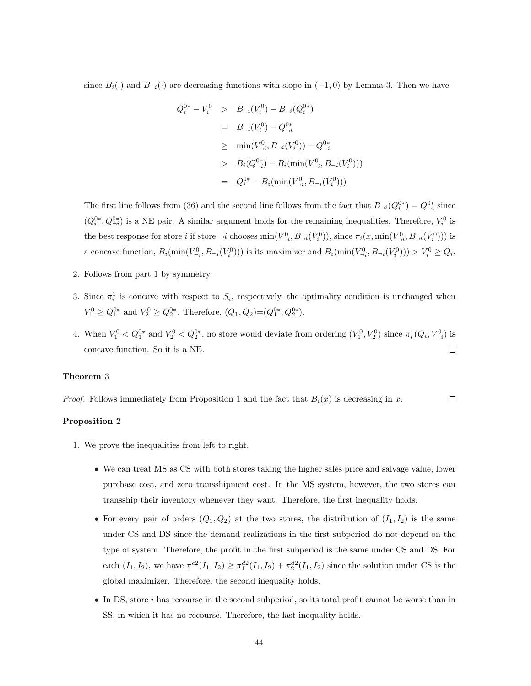since  $B_i(\cdot)$  and  $B_{\neg i}(\cdot)$  are decreasing functions with slope in  $(-1, 0)$  by Lemma 3. Then we have

$$
Q_i^{0*} - V_i^0 > B_{\neg i}(V_i^0) - B_{\neg i}(Q_i^{0*})
$$
  
=  $B_{\neg i}(V_i^0) - Q_{\neg i}^{0*}$   
 $\ge \min(V_{\neg i}^0, B_{\neg i}(V_i^0)) - Q_{\neg i}^{0*}$   
 $\ge B_i(Q_{\neg i}^{0*}) - B_i(\min(V_{\neg i}^0, B_{\neg i}(V_i^0)))$   
=  $Q_i^{0*} - B_i(\min(V_{\neg i}^0, B_{\neg i}(V_i^0)))$ 

The first line follows from (36) and the second line follows from the fact that  $B_{\neg i}(Q_i^{0*}) = Q_{\neg i}^{0*}$  since  $(Q_i^{0*}, Q_{\neg i}^{0*})$  is a NE pair. A similar argument holds for the remaining inequalities. Therefore,  $V_i^0$  is the best response for store i if store  $\neg i$  chooses  $\min(V_{\neg i}^0, B_{\neg i}(V_i^0))$ , since  $\pi_i(x, \min(V_{\neg i}^0, B_{\neg i}(V_i^0)))$  is a concave function,  $B_i(\min(V^0_{\neg i}, B_{\neg i}(V^0_i)))$  is its maximizer and  $B_i(\min(V^0_{\neg i}, B_{\neg i}(V^0_i))) > V^0_i \ge Q_i$ .

- 2. Follows from part 1 by symmetry.
- 3. Since  $\pi_i^1$  is concave with respect to  $S_i$ , respectively, the optimality condition is unchanged when  $V_1^0 \geq Q_1^{0*}$  and  $V_2^0 \geq Q_2^{0*}$ . Therefore,  $(Q_1, Q_2) = (Q_1^{0*}, Q_2^{0*})$ .
- 4. When  $V_1^0 < Q_1^{0*}$  and  $V_2^0 < Q_2^{0*}$ , no store would deviate from ordering  $(V_1^0, V_2^0)$  since  $\pi_i^1(Q_i, V_{\neg i}^0)$  is concave function. So it is a NE.  $\Box$

#### Theorem 3

*Proof.* Follows immediately from Proposition 1 and the fact that  $B_i(x)$  is decreasing in x.  $\Box$ 

## Proposition 2

- 1. We prove the inequalities from left to right.
	- We can treat MS as CS with both stores taking the higher sales price and salvage value, lower purchase cost, and zero transshipment cost. In the MS system, however, the two stores can transship their inventory whenever they want. Therefore, the first inequality holds.
	- For every pair of orders  $(Q_1, Q_2)$  at the two stores, the distribution of  $(I_1, I_2)$  is the same under CS and DS since the demand realizations in the first subperiod do not depend on the type of system. Therefore, the profit in the first subperiod is the same under CS and DS. For each  $(I_1, I_2)$ , we have  $\pi^{c2}(I_1, I_2) \geq \pi_1^{d2}(I_1, I_2) + \pi_2^{d2}(I_1, I_2)$  since the solution under CS is the global maximizer. Therefore, the second inequality holds.
	- $\bullet$  In DS, store *i* has recourse in the second subperiod, so its total profit cannot be worse than in SS, in which it has no recourse. Therefore, the last inequality holds.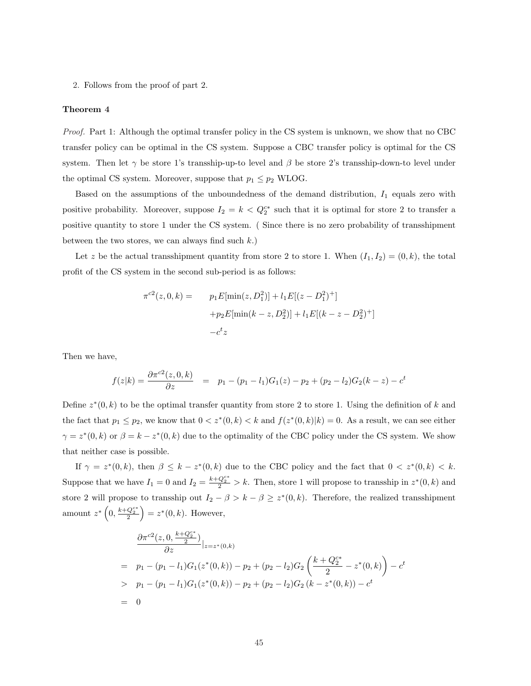2. Follows from the proof of part 2.

#### Theorem 4

Proof. Part 1: Although the optimal transfer policy in the CS system is unknown, we show that no CBC transfer policy can be optimal in the CS system. Suppose a CBC transfer policy is optimal for the CS system. Then let  $\gamma$  be store 1's transship-up-to level and  $\beta$  be store 2's transship-down-to level under the optimal CS system. Moreover, suppose that  $p_1 \leq p_2$  WLOG.

Based on the assumptions of the unboundedness of the demand distribution,  $I_1$  equals zero with positive probability. Moreover, suppose  $I_2 = k < Q_2^{c*}$  such that it is optimal for store 2 to transfer a positive quantity to store 1 under the CS system. ( Since there is no zero probability of transshipment between the two stores, we can always find such  $k$ .)

Let z be the actual transshipment quantity from store 2 to store 1. When  $(I_1, I_2) = (0, k)$ , the total profit of the CS system in the second sub-period is as follows:

$$
\pi^{c2}(z, 0, k) = p_1 E[\min(z, D_1^2)] + l_1 E[(z - D_1^2)^+]
$$

$$
+ p_2 E[\min(k - z, D_2^2)] + l_1 E[(k - z - D_2^2)^+]
$$

$$
-c^t z
$$

Then we have,

$$
f(z|k) = \frac{\partial \pi^{c2}(z,0,k)}{\partial z} = p_1 - (p_1 - l_1)G_1(z) - p_2 + (p_2 - l_2)G_2(k - z) - c^t
$$

Define  $z^*(0, k)$  to be the optimal transfer quantity from store 2 to store 1. Using the definition of k and the fact that  $p_1 \leq p_2$ , we know that  $0 < z^*(0, k) < k$  and  $f(z^*(0, k)|k) = 0$ . As a result, we can see either  $\gamma = z^*(0, k)$  or  $\beta = k - z^*(0, k)$  due to the optimality of the CBC policy under the CS system. We show that neither case is possible.

If  $\gamma = z^*(0, k)$ , then  $\beta \leq k - z^*(0, k)$  due to the CBC policy and the fact that  $0 < z^*(0, k) < k$ . Suppose that we have  $I_1 = 0$  and  $I_2 = \frac{k + Q_2^{c*}}{2} > k$ . Then, store 1 will propose to transship in  $z^*(0, k)$  and store 2 will propose to transship out  $I_2 - \beta > k - \beta \geq z^*(0, k)$ . Therefore, the realized transshipment amount  $z^*\left(0, \frac{k+Q_2^{c*}}{2}\right) = z^*(0, k)$ . However,

$$
\frac{\partial \pi^{c2}(z, 0, \frac{k+Q_2^{c*}}{2})}{\partial z}|_{z=z^*(0,k)}
$$
\n
$$
= p_1 - (p_1 - l_1)G_1(z^*(0, k)) - p_2 + (p_2 - l_2)G_2\left(\frac{k+Q_2^{c*}}{2} - z^*(0, k)\right) - c^t
$$
\n
$$
> p_1 - (p_1 - l_1)G_1(z^*(0, k)) - p_2 + (p_2 - l_2)G_2(k - z^*(0, k)) - c^t
$$
\n
$$
= 0
$$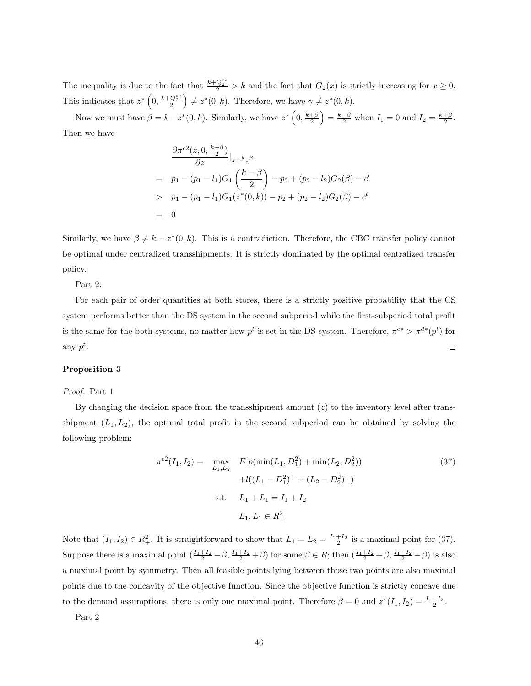The inequality is due to the fact that  $\frac{k+Q_2^{c^*}}{2} > k$  and the fact that  $G_2(x)$  is strictly increasing for  $x \ge 0$ . This indicates that  $z^* \left(0, \frac{k+Q_2^{c*}}{2}\right) \neq z^*(0, k)$ . Therefore, we have  $\gamma \neq z^*(0, k)$ .

Now we must have  $\beta = k - z^*(0, k)$ . Similarly, we have  $z^* \left(0, \frac{k+\beta}{2}\right) = \frac{k-\beta}{2}$  when  $I_1 = 0$  and  $I_2 = \frac{k+\beta}{2}$ . Then we have

$$
\frac{\partial \pi^{c2}(z, 0, \frac{k+\beta}{2})}{\partial z}\Big|_{z=\frac{k-\beta}{2}}= p_1 - (p_1 - l_1)G_1\left(\frac{k-\beta}{2}\right) - p_2 + (p_2 - l_2)G_2(\beta) - c^t> p_1 - (p_1 - l_1)G_1(z^*(0, k)) - p_2 + (p_2 - l_2)G_2(\beta) - c^t= 0
$$

Similarly, we have  $\beta \neq k - z^*(0, k)$ . This is a contradiction. Therefore, the CBC transfer policy cannot be optimal under centralized transshipments. It is strictly dominated by the optimal centralized transfer policy.

Part 2:

For each pair of order quantities at both stores, there is a strictly positive probability that the CS system performs better than the DS system in the second subperiod while the first-subperiod total profit is the same for the both systems, no matter how  $p^t$  is set in the DS system. Therefore,  $\pi^{c*} > \pi^{d*}(p^t)$  for any  $p^t$ .  $\Box$ 

## Proposition 3

#### Proof. Part 1

By changing the decision space from the transshipment amount  $(z)$  to the inventory level after transshipment  $(L_1, L_2)$ , the optimal total profit in the second subperiod can be obtained by solving the following problem:

$$
\pi^{c2}(I_1, I_2) = \max_{L_1, L_2} E[p(\min(L_1, D_1^2) + \min(L_2, D_2^2))
$$
  
 
$$
+ l((L_1 - D_1^2)^+ + (L_2 - D_2^2)^+)]
$$
  
s.t.  $L_1 + L_1 = I_1 + I_2$   
 $L_1, L_1 \in R_+^2$  (37)

Note that  $(I_1, I_2) \in R_+^2$ . It is straightforward to show that  $L_1 = L_2 = \frac{I_1 + I_2}{2}$  is a maximal point for (37). Suppose there is a maximal point  $(\frac{I_1+I_2}{2}-\beta, \frac{I_1+I_2}{2}+\beta)$  for some  $\beta \in R$ ; then  $(\frac{I_1+I_2}{2}+\beta, \frac{I_1+I_2}{2}-\beta)$  is also a maximal point by symmetry. Then all feasible points lying between those two points are also maximal points due to the concavity of the objective function. Since the objective function is strictly concave due to the demand assumptions, there is only one maximal point. Therefore  $\beta = 0$  and  $z^*(I_1, I_2) = \frac{I_1 - I_2}{2}$ .

Part 2